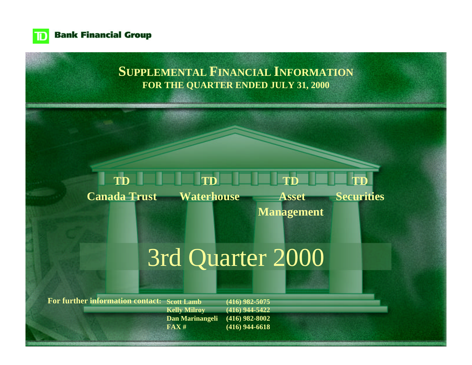

**Bank Financial Group** 

# **SUPPLEMENTAL FINANCIAL INFORMATION FOR THE QUARTER ENDED JULY 31, 2000**

#### **TD TD TD TD**

**Waterhouse Canada Trust**

 **Asset**

**Securities**

**Management**

# [3rd Quarter 2000](#page-1-0)

**For further information contact: Scott Lamb Kelly Milroy Dan Marinangeli FAX # (416) 982-5075 (416) 944-5422 (416) 982-8002 (416) 944-6618**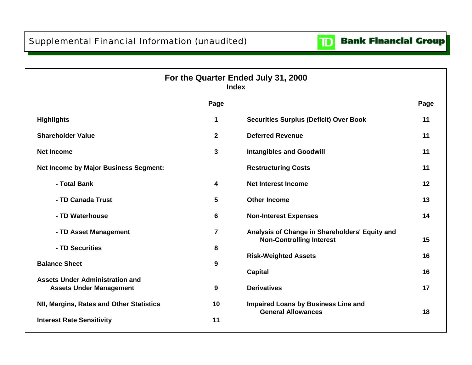

<span id="page-1-0"></span>

|                                                                          | <b>Index</b>            | For the Quarter Ended July 31, 2000                                               |      |
|--------------------------------------------------------------------------|-------------------------|-----------------------------------------------------------------------------------|------|
|                                                                          | Page                    |                                                                                   | Page |
| <b>Highlights</b>                                                        | 1                       | <b>Securities Surplus (Deficit) Over Book</b>                                     | 11   |
| <b>Shareholder Value</b>                                                 | $\overline{2}$          | <b>Deferred Revenue</b>                                                           | 11   |
| <b>Net Income</b>                                                        | 3                       | <b>Intangibles and Goodwill</b>                                                   | 11   |
| <b>Net Income by Major Business Segment:</b>                             |                         | <b>Restructuring Costs</b>                                                        | 11   |
| - Total Bank                                                             | 4                       | <b>Net Interest Income</b>                                                        | 12   |
| - TD Canada Trust                                                        | 5                       | <b>Other Income</b>                                                               | 13   |
| - TD Waterhouse                                                          | 6                       | <b>Non-Interest Expenses</b>                                                      | 14   |
| - TD Asset Management                                                    | $\overline{\mathbf{7}}$ | Analysis of Change in Shareholders' Equity and<br><b>Non-Controlling Interest</b> | 15   |
| - TD Securities                                                          | 8                       | <b>Risk-Weighted Assets</b>                                                       | 16   |
| <b>Balance Sheet</b>                                                     | 9                       | <b>Capital</b>                                                                    | 16   |
| <b>Assets Under Administration and</b><br><b>Assets Under Management</b> | 9                       | <b>Derivatives</b>                                                                | 17   |
| NII, Margins, Rates and Other Statistics                                 | 10                      | <b>Impaired Loans by Business Line and</b><br><b>General Allowances</b>           | 18   |
| <b>Interest Rate Sensitivity</b>                                         | 11                      |                                                                                   |      |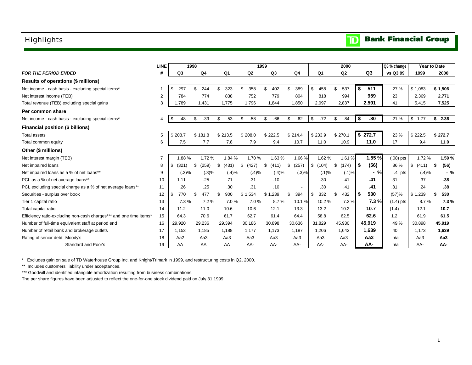### <span id="page-2-0"></span>Highlights

|  |  | <b>TD</b> Bank Financial Group |  |
|--|--|--------------------------------|--|
|--|--|--------------------------------|--|

|                                                                    | <b>LINE</b>    |             | 1998  |                |                |        |                | 1999           |               |                | 2000       |                 | Q3 % change |             | <b>Year to Date</b> |
|--------------------------------------------------------------------|----------------|-------------|-------|----------------|----------------|--------|----------------|----------------|---------------|----------------|------------|-----------------|-------------|-------------|---------------------|
| <b>FOR THE PERIOD ENDED</b>                                        | #              | Q3          |       | Q <sub>4</sub> | Q <sub>1</sub> |        | Q <sub>2</sub> | Q <sub>3</sub> | Q4            | Q <sub>1</sub> | Q2         | Q3              | vs Q3 99    | 1999        | 2000                |
| Results of operations (\$ millions)                                |                |             |       |                |                |        |                |                |               |                |            |                 |             |             |                     |
| Net income - cash basis - excluding special items*                 |                | \$<br>297   | \$    | 244            | \$<br>323      |        | \$.<br>358     | \$<br>402      | 389           | \$<br>458      | \$<br>537  | 511<br>\$       | 27 %        | \$1,083     | \$1,506             |
| Net interest income (TEB)                                          | $\overline{2}$ | 784         |       | 774            | 838            |        | 752            | 779            | 804           | 818            | 994        | 959             | 23          | 2,369       | 2,771               |
| Total revenue (TEB) excluding special gains                        | 3              | 1.789       |       | 1.431          | 1.775          |        | 1.796          | 1.844          | 1.850         | 2,097          | 2,837      | 2,591           | 41          | 5.415       | 7,525               |
| Per common share                                                   |                |             |       |                |                |        |                |                |               |                |            |                 |             |             |                     |
| Net income - cash basis - excluding special items*                 | 4              | \$<br>.48   | \$    | .39            | .53<br>\$      |        | \$<br>.58      | \$<br>.66      | .62<br>\$     | .72<br>\$      | .84<br>\$. | .80<br>\$       | 21 %        | \$<br>1.77  | \$2.36              |
| Financial position (\$ billions)                                   |                |             |       |                |                |        |                |                |               |                |            |                 |             |             |                     |
| Total assets                                                       | 5              | \$208.7     |       | \$181.8        | \$213.5        |        | \$208.0        | \$222.5        | \$214.4       | \$233.9        | \$270.1    | \$272.7         | 23 %        | \$222.5     | \$272.7             |
| Total common equity                                                | 6              | 7.5         |       | 7.7            | 7.8            |        | 7.9            | 9.4            | 10.7          | 11.0           | 10.9       | 11.0            | 17          | 9.4         | 11.0                |
| Other (\$ millions)                                                |                |             |       |                |                |        |                |                |               |                |            |                 |             |             |                     |
| Net interest margin (TEB)                                          | $\overline{7}$ | 1.88%       |       | 1.72%          |                | 1.84 % | 1.70%          | 1.63%          | 1.66%         | 1.62%          | 1.61%      | 1.55 %          | $(.08)$ pts | 1.72%       | 1.59%               |
| Net impaired loans                                                 | 8              | \$<br>(321) | \$    | (259)          | (431)<br>\$    |        | (427)<br>S     | \$<br>(411)    | (257)<br>- \$ | \$<br>(104)    | (174)<br>S | (56)<br>- \$    | 86 %        | \$<br>(411) | (56)<br>- \$        |
| Net impaired loans as a % of net loans**                           | 9              |             | (.3)% | (.3)%          |                | (.4)%  | (.4)%          | (.4)%          | (.3)%         | (.1)%          | (.1)%      | $-$ %           | $.4$ pts    | (.4)%       | $-$ %               |
| PCL as a % of net average loans**                                  | 10             | 1.11        |       | .25            | .71            |        | .31            | .10            | $\sim$        | .30            | .41        | .41             | .31         | .37         | .38                 |
| PCL excluding special charge as a % of net average loans**         | 11             | .26         |       | .25            |                | .30    | .31            | .10            | $\sim$        | .30            | .41        | .41             | .31         | .24         | .38                 |
| Securities - surplus over book                                     | 12             | 770<br>\$   | \$    | 477            | 900<br>\$      |        | \$1<br>.534    | ,239<br>\$1    | \$.<br>394    | \$<br>332      | 432<br>\$. | 530             | (57)%       | \$1<br>,239 | 530<br>\$           |
| Tier 1 capital ratio                                               | 13             | 7.3%        |       | 7.2%           |                | 7.0%   | 7.0%           | 8.7%           | 10.1%         | 10.2%          | 7.2%       | 7.3%            | $(1.4)$ pts | 8.7%        | 7.3%                |
| Total capital ratio                                                | 14             | 11.2        |       | 11.0           | 10.6           |        | 10.6           | 12.1           | 13.3          | 13.2           | 10.2       | 10.7            | (1.4)       | 12.1        | 10.7                |
| Efficiency ratio-excluding non-cash charges*** and one time items* | 15             | 64.3        |       | 70.6           | 61.7           |        | 62.7           | 61.4           | 64.4          | 58.8           | 62.5       | 62.6            | 1.2         | 61.9        | 61.5                |
| Number of full-time equivalent staff at period end                 | 16             | 29,920      |       | 29,236         | 29,394         |        | 30,186         | 30,898         | 30,636        | 31,829         | 45,930     | 45,919          | 49 %        | 30,898      | 45,919              |
| Number of retail bank and brokerage outlets                        | 17             | 1.153       |       | 1.185          | 1.188          |        | 1.177          | 1.173          | 1,187         | 1,206          | 1,642      | 1.639           | 40          | 1.173       | 1,639               |
| Rating of senior debt: Moody's                                     | 18             | Aa2         |       | Aa3            | Aa3            |        | Aa3            | Aa3            | Aa3           | Aa3            | Aa3        | Aa <sub>3</sub> | n/a         | Aa3         | Aa <sub>3</sub>     |
| Standard and Poor's                                                | 19             | AA          |       | AA             | AA             |        | AA-            | AA-            | AA-           | AA-            | AA-        | AA-             | n/a         | AA-         | AA-                 |

\* Excludes gain on sale of TD Waterhouse Group Inc. and Knight/Trimark in 1999, and restructuring costs in Q2, 2000.

\*\* Includes customers' liability under acceptances.

\*\*\* Goodwill and identified intangible amortization resulting from business combinations.

The per share figures have been adjusted to reflect the one-for-one stock dividend paid on July 31,1999.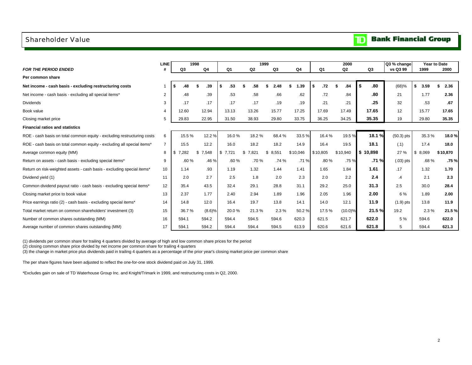### <span id="page-3-0"></span>Shareholder Value

#### **Bank Financial Group**  $\mathbf{D}$

|                                                                         | <b>LINE</b>    | 1998        |                |         | 1999        |                |            |                | 2000     |           | Q3 % change  | Year to Date |            |
|-------------------------------------------------------------------------|----------------|-------------|----------------|---------|-------------|----------------|------------|----------------|----------|-----------|--------------|--------------|------------|
| <b>FOR THE PERIOD ENDED</b>                                             |                | Q3          | Q <sub>4</sub> | Q1      | Q2          | Q <sub>3</sub> | Q4         | Q <sub>1</sub> | Q2       | Q3        | vs Q3 99     | 1999         | 2000       |
| Per common share                                                        |                |             |                |         |             |                |            |                |          |           |              |              |            |
| Net income - cash basis - excluding restructuring costs                 |                | .48         | .39            | .53     | .58         | 2.48           | 1.39<br>\$ | .72<br>\$.     | .84      | Ŝ.<br>.80 | (68)%        | 3.59<br>\$.  | 2.36<br>\$ |
| Net income - cash basis - excluding all special items*                  | 2              | .48         | .39            | .53     | .58         | .66            | .62        | .72            | .84      | .80       | 21           | 1.77         | 2.36       |
| <b>Dividends</b>                                                        | 3              | .17         | .17            | .17     | .17         | .19            | .19        | .21            | .21      | .25       | 32           | .53          | .67        |
| Book value                                                              | 4              | 12.60       | 12.94          | 13.13   | 13.26       | 15.77          | 17.25      | 17.69          | 17.49    | 17.65     | 12           | 15.77        | 17.65      |
| Closing market price                                                    | 5              | 29.83       | 22.95          | 31.50   | 38.93       | 29.80          | 33.75      | 36.25          | 34.25    | 35.35     | 19           | 29.80        | 35.35      |
| <b>Financial ratios and statistics</b>                                  |                |             |                |         |             |                |            |                |          |           |              |              |            |
| ROE - cash basis on total common equity - excluding restructuring costs | 6              | 15.5%       | 12.2%          | 16.0%   | 18.2%       | 68.4%          | 33.5%      | 16.4%          | 19.5%    | 18.1%     | $(50.3)$ pts | 35.3%        | 18.0%      |
| ROE - cash basis on total common equity - excluding all special items*  | $\overline{7}$ | 15.5        | 12.2           | 16.0    | 18.2        | 18.2           | 14.9       | 16.4           | 19.5     | 18.1      | (.1)         | 17.4         | 18.0       |
| Average common equity (MM)                                              | 8              | 7.282<br>\$ | \$7,548        | \$7,721 | 7,821<br>\$ | 8.551<br>\$    | \$10.046   | \$10,805       | \$10,940 | \$10.898  | 27 %         | 8,069<br>\$  | \$10,870   |
| Return on assets - cash basis - excluding special items*                | 9              | .60%        | .46 %          | .60%    | .70%        | .74%           | .71%       | .80%           | .75%     | .71%      | $(.03)$ pts  | .68%         | .75%       |
| Return on risk-weighted assets - cash basis - excluding special items*  | 10             | 1.14        | .93            | 1.19    | 1.32        | 1.44           | 1.41       | 1.65           | 1.84     | 1.61      | .17          | 1.32         | 1.70       |
| Dividend yield (1)                                                      | 11             | 2.0         | 2.7            | 2.5     | 1.8         | 2.0            | 2.3        | 2.0            | 2.2      | 2.4       | $\cdot$      | 2.1          | 2.3        |
| Common dividend payout ratio - cash basis - excluding special items*    | 12             | 35.4        | 43.5           | 32.4    | 29.1        | 28.8           | 31.1       | 29.2           | 25.0     | 31.3      | 2.5          | 30.0         | 28.4       |
| Closing market price to book value                                      | 13             | 2.37        | 1.77           | 2.40    | 2.94        | 1.89           | 1.96       | 2.05           | 1.96     | 2.00      | 6 %          | 1.89         | 2.00       |
| Price earnings ratio (2) - cash basis - excluding special items*        | 14             | 14.8        | 12.0           | 16.4    | 19.7        | 13.8           | 14.1       | 14.0           | 12.1     | 11.9      | $(1.9)$ pts  | 13.8         | 11.9       |
| Total market return on common shareholders' investment (3)              | 15             | 36.7%       | (8.6)%         | 20.0%   | 21.3%       | 2.3%           | 50.2%      | 17.5%          | (10.0)%  | 21.5%     | 19.2         | 2.3%         | 21.5%      |
| Number of common shares outstanding (MM)                                | 16             | 594.1       | 594.2          | 594.4   | 594.5       | 594.6          | 620.3      | 621.5          | 621.7    | 622.0     | 5 %          | 594.6        | 622.0      |
| Average number of common shares outstanding (MM)                        | 17             | 594.1       | 594.2          | 594.4   | 594.4       | 594.5          | 613.9      | 620.6          | 621.6    | 621.8     | 5            | 594.4        | 621.3      |

(1) dividends per common share for trailing 4 quarters divided by average of high and low common share prices for the period

(2) closing common share price divided by net income per common share for trailing 4 quarters

(3) the change in market price plus dividends paid in trailing 4 quarters as a percentage of the prior year's closing market price per common share

The per share figures have been adjusted to reflect the one-for-one stock dividend paid on July 31, 1999.

\*Excludes gain on sale of TD Waterhouse Group Inc. and Knight/Trimark in 1999, and restructuring costs in Q2, 2000.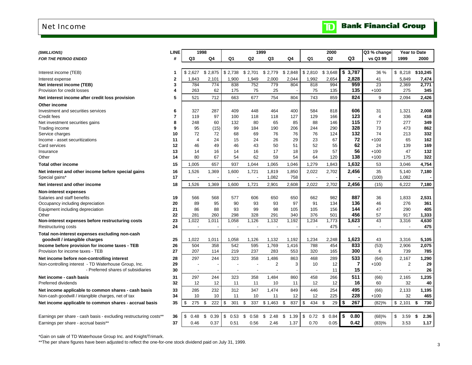### <span id="page-4-0"></span>Net Income

| (\$MILLIONS)                                                      | <b>LINE</b>    |                          | 1998       |                |                | 1999           |            |                          | 2000            |                | Q3 % change              |                | <b>Year to Date</b> |
|-------------------------------------------------------------------|----------------|--------------------------|------------|----------------|----------------|----------------|------------|--------------------------|-----------------|----------------|--------------------------|----------------|---------------------|
| <b>FOR THE PERIOD ENDED</b>                                       | #              | Q3                       | Q4         | Q1             | Q <sub>2</sub> | Q3             | Q4         | Q1                       | Q <sub>2</sub>  | Q3             | vs Q3 99                 | 1999           | 2000                |
|                                                                   |                |                          |            |                |                |                |            |                          |                 |                |                          |                |                     |
| Interest income (TEB)                                             | 1              | \$2,627                  | \$2,875    | \$2,738        | \$2,701        | \$2,779        | \$2,848    | \$2,810                  | \$3,648         | \$<br>3,787    | 36 %                     | \$8,218        | \$10,245            |
| Interest expense                                                  | $\mathbf{2}$   | 1,843                    | 2,101      | 1,900          | 1,949          | 2,000          | 2,044      | 1,992                    | 2,654           | 2,828          | 41                       | 5,849          | 7,474               |
| Net interest income (TEB)                                         | 3              | 784                      | 774        | 838            | 752            | 779            | 804        | 818                      | 994             | 959            | 23                       | 2,369          | 2,771               |
| Provision for credit losses                                       | 4              | 263                      | 62         | 175            | 75             | 25             |            | 75                       | 135             | 135            | $+100$                   | 275            | 345                 |
| Net interest income after credit loss provision                   | 5              | 521                      | 712        | 663            | 677            | 754            | 804        | 743                      | 859             | 824            | 9                        | 2.094          | 2,426               |
| Other income                                                      |                |                          |            |                |                |                |            |                          |                 |                |                          |                |                     |
| Investment and securities services                                | 6              | 327                      | 287        | 409            | 448            | 464            | 400        | 584                      | 818             | 606            | 31                       | 1,321          | 2,008               |
| Credit fees                                                       | $\overline{7}$ | 119                      | 97         | 100            | 118            | 118            | 127        | 129                      | 166             | 123            | $\overline{4}$           | 336            | 418                 |
| Net investment securities gains                                   | 8              | 248                      | 60         | 132            | 80             | 65             | 85         | 88                       | 146             | 115            | 77                       | 277            | 349                 |
| Trading income                                                    | 9              | 95                       | (15)       | 99             | 184            | 190            | 206        | 244                      | 290             | 328            | 73                       | 473            | 862                 |
| Service charges                                                   | 10             | 72                       | 72         | 68             | 69             | 76             | 76         | 76                       | 124             | 132            | 74                       | 213            | 332                 |
| Income - asset securitizations                                    | 11             | $\overline{4}$           | 24         | 15             | 24             | 26             | 29         | 23                       | 67              | 72             | $+100$                   | 65             | 162                 |
| Card services                                                     | 12             | 46                       | 49         | 46             | 43             | 50             | 51         | 52                       | 55              | 62             | 24                       | 139            | 169                 |
| Insurance                                                         | 13             | 14                       | 16         | 14             | 16             | 17             | 18         | 19                       | 57              | 56             | $+100$                   | 47             | 132                 |
| Other                                                             | 14             | 80                       | 67         | 54             | 62             | 59             | 54         | 64                       | 120             | 138            | $+100$                   | 175            | 322                 |
| <b>Total other income</b>                                         | 15             | 1,005                    | 657        | 937            | 1,044          | 1,065          | 1,046      | 1,279                    | 1,843           | 1,632          | 53                       | 3,046          | 4,754               |
| Net interest and other income before special gains                | 16             | 1,526                    | 1,369      | 1,600          | 1,721          | 1,819          | 1,850      | 2,022                    | 2,702           | 2,456          | 35                       | 5,140          | 7,180               |
| Special gains*                                                    | 17             | $\overline{\phantom{a}}$ |            |                |                | 1,082          | 758        | $\overline{\phantom{a}}$ |                 |                | (100)                    | 1,082          |                     |
| Net interest and other income                                     | 18             | 1,526                    | 1,369      | 1,600          | 1,721          | 2,901          | 2,608      | 2,022                    | 2,702           | 2,456          | (15)                     | 6,222          | 7,180               |
| <b>Non-interest expenses</b>                                      |                |                          |            |                |                |                |            |                          |                 |                |                          |                |                     |
| Salaries and staff benefits                                       | 19             | 566                      | 568        | 577            | 606            | 650            | 650        | 662                      | 982             | 887            | 36                       | 1,833          | 2,531               |
| Occupancy including depreciation                                  | 20             | 89                       | 95         | 90             | 93             | 93             | 97         | 91                       | 134             | 136            | 46                       | 276            | 361                 |
| Equipment including depreciation                                  | 21             | 86                       | 88         | 93             | 99             | 98             | 105        | 105                      | 156             | 144            | 47                       | 290            | 405                 |
| Other                                                             | 22             | 281                      | 260        | 298            | 328            | 291            | 340        | 376                      | 501             | 456            | 57                       | 917            | 1,333               |
| Non-interest expenses before restructuring costs                  | 23             | 1,022                    | 1,011      | 1,058          | 1,126          | 1,132          | 1,192      | 1,234                    | 1,773           | 1,623          | 43                       | 3,316          | 4,630               |
| Restructuring costs                                               | 24             | $\overline{a}$           |            |                |                |                |            |                          | 475             |                | $\overline{\phantom{a}}$ |                | 475                 |
| Total non-interest expenses excluding non-cash                    |                |                          |            |                |                |                |            |                          |                 |                |                          |                |                     |
| goodwill / intangible charges                                     | 25             | 1,022                    | 1,011      | 1,058          | 1,126          | 1,132          | 1,192      | 1,234                    | 2,248           | 1,623          | 43                       | 3,316          | 5,105               |
| Income before provision for income taxes - TEB                    | 26             | 504                      | 358        | 542            | 595            | 1.769          | 1,416      | 788                      | 454             | 833            | (53)                     | 2,906          | 2,075               |
| Provision for income taxes - TEB                                  | 27             | 207                      | 114        | 219            | 237            | 283            | 553        | 320                      | 165             | 300            | 6                        | 739            | 785                 |
| Net income before non-controlling interest                        | 28             | 297                      | 244        | 323            | 358            | 1,486          | 863        | 468                      | 289             | 533            | (64)                     | 2,167          | 1,290               |
| Non-controlling interest - TD Waterhouse Group, Inc.              | 29             |                          |            |                |                | $\overline{2}$ | 3          | 10                       | 12 <sup>2</sup> | $\overline{7}$ | $+100$                   | $\overline{2}$ | 29                  |
| - Preferred shares of subsidiaries                                | 30             | $\blacksquare$           |            | $\blacksquare$ | $\blacksquare$ | $\blacksquare$ |            | $\overline{\phantom{a}}$ | 11              | 15             | $\blacksquare$           | $\blacksquare$ | 26                  |
| Net income - cash basis                                           | 31             | 297                      | 244        | 323            | 358            | 1,484          | 860        | 458                      | 266             | 511            | (66)                     | 2,165          | 1,235               |
| Preferred dividends                                               | 32             | 12                       | 12         | 11             | 11             | 10             | 11         | 12                       | 12 <sup>2</sup> | 16             | 60                       | 32             | 40                  |
| Net income applicable to common shares - cash basis               | 33             | 285                      | 232        | 312            | 347            | 1,474          | 849        | 446                      | 254             | 495            | (66)                     | 2,133          | 1,195               |
| Non-cash goodwill / intangible charges, net of tax                | 34             | 10                       | 10         | 11             | 10             | 11             | 12         | 12                       | 225             | 228            | $+100$                   | 32             | 465                 |
| Net income applicable to common shares - accrual basis            | 35             | 275<br>\$                | 222<br>\$  | $\$$<br>301    | \$<br>337      | \$1,463        | -\$<br>837 | \$<br>434                | \$<br>29        | \$<br>267      | (82)%                    | \$2,101        | \$<br>730           |
|                                                                   |                |                          |            |                |                |                |            |                          |                 |                |                          |                |                     |
| Earnings per share - cash basis - excluding restructuring costs** | 36             | \$<br>0.48               | \$<br>0.39 | \$<br>0.53     | \$<br>0.58     | 2.48<br>\$     | \$<br>1.39 | \$<br>0.72               | \$<br>0.84      | \$<br>0.80     | (68)%                    | \$<br>3.59     | 2.36<br>\$          |
|                                                                   |                |                          |            |                |                |                |            |                          |                 | 0.42           |                          |                |                     |
| Earnings per share - accrual basis**                              | 37             | 0.46                     | 0.37       | 0.51           | 0.56           | 2.46           | 1.37       | 0.70                     | 0.05            |                | (83)%                    | 3.53           | 1.17                |

\*Gain on sale of TD Waterhouse Group Inc. and Knight/Trimark.

\*\*The per share figures have been adjusted to reflect the one-for-one stock dividend paid on July 31, 1999.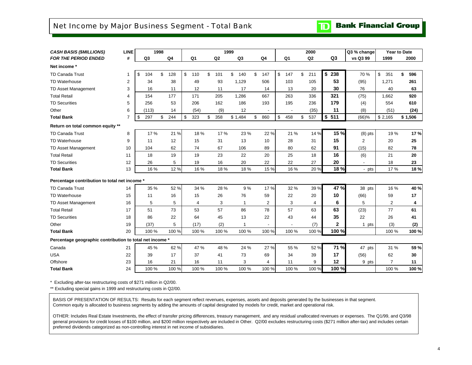### <span id="page-5-0"></span>Net Income by Major Business Segment - Total Bank

**TD** Bank Financial Group

| Q4<br>Q <sub>3</sub><br>Q2<br>Q <sub>3</sub><br>vs Q3 99<br><b>FOR THE PERIOD ENDED</b><br>#<br>Q <sub>3</sub><br>Q <sub>1</sub><br>Q <sub>2</sub><br>Q <sub>4</sub><br>Q <sub>1</sub><br>1999<br>2000<br>Net income *<br>\$238<br>\$<br>\$<br>\$<br>\$<br>\$<br>\$<br>\$<br>211<br>70 %<br>\$<br><b>TD Canada Trust</b><br>104<br>\$<br>128<br>110<br>101<br>140<br>147<br>147<br>351<br>\$<br>596<br>34<br>53<br><b>TD Waterhouse</b><br>$\overline{2}$<br>38<br>49<br>93<br>1,129<br>506<br>103<br>105<br>(95)<br>1,271<br>261<br>30<br>3<br>TD Asset Management<br>16<br>11<br>12<br>11<br>17<br>14<br>13<br>20<br>76<br>40<br>63<br>321<br><b>Total Retail</b><br>177<br>171<br>205<br>1,286<br>667<br>263<br>336<br>1,662<br>920<br>4<br>154<br>(75)<br><b>TD Securities</b><br>179<br>5<br>256<br>53<br>206<br>162<br>186<br>193<br>195<br>236<br>554<br>610<br>(4)<br>11<br>Other<br>6<br>14<br>(54)<br>(9)<br>12<br>(35)<br>(8)<br>(51)<br>(113)<br>(24)<br>\$511<br>244<br>\$<br>323<br>\$<br>358<br>537<br>\$2,165<br><b>Total Bank</b><br>\$<br>297<br>\$<br>\$1,484<br>\$<br>860<br>\$<br>458<br>\$<br>(66)%<br>\$1,506<br>$\overline{7}$<br>Return on total common equity **<br>15 %<br>21 %<br>22 %<br>17%<br>18%<br>17 %<br>23 %<br>21 %<br>14 %<br>19%<br><b>TD Canada Trust</b><br>8<br>$(8)$ pts<br>15<br>12<br>$\overline{2}$<br>25<br><b>TD Waterhouse</b><br>9<br>15<br>31<br>13<br>10<br>28<br>31<br>20<br>11<br>62<br>67<br>62<br>91<br>82<br>10<br>74<br>106<br>89<br>80<br>(15)<br>78<br>TD Asset Management<br>104<br>19<br>23<br>16<br><b>Total Retail</b><br>18<br>19<br>22<br>20<br>25<br>18<br>(6)<br>21<br>20<br>11<br><b>TD Securities</b><br>12<br>5<br>16<br>20<br>22<br>22<br>20<br>18<br>26<br>19<br>27<br>23<br>18 %<br>12%<br><b>Total Bank</b><br>13<br>16 %<br>16 %<br>18 %<br>18%<br>15 %<br>16 %<br>20%<br>17%<br>- pts<br>Percentage contribution to total net income *<br>47 %<br>52 %<br>17%<br>TD Canada Trust<br>34 %<br>28 %<br>9%<br>32 %<br>39 %<br>16 %<br>35 %<br>38 pts<br>14<br>26<br>76<br>10<br>17<br>TD Waterhouse<br>15<br>16<br>15<br>59<br>22<br>20<br>(66)<br>59<br>11<br>6<br>16<br>5<br>5<br>3<br>3<br>5<br>$\overline{2}$<br>TD Asset Management<br>2<br>4<br>4<br>1<br>4<br>73<br>57<br>63<br><b>Total Retail</b><br>51<br>53<br>86<br>78<br>57<br>63<br>(23)<br>77<br>61<br>17<br>35<br><b>TD Securities</b><br>86<br>22<br>64<br>45<br>13<br>22<br>43<br>44<br>22<br>18<br>26<br>41<br>$\mathbf 2$<br>19<br>(2)<br>Other<br>(37)<br>5<br>(17)<br>(7)<br>(3)<br>1 pts<br>(2)<br>1<br>$\blacksquare$<br>100 %<br>100 %<br><b>Total Bank</b><br>100 %<br>100 %<br>100 %<br>100 %<br>100 %<br>100 %<br>100 %<br>20<br>100 %<br>Percentage geographic contribution to total net income *<br>71 %<br>62%<br>47 %<br>27 %<br>Canada<br>45 %<br>48 %<br>24 %<br>55 %<br>52 %<br>47 pts<br>31 %<br>21<br><b>USA</b><br>17<br>17<br>22<br>39<br>37<br>73<br>69<br>34<br>39<br>(56)<br>62<br>30<br>41<br>23<br>3<br>12<br>$\overline{7}$<br>Offshore<br>16<br>21<br>16<br>11<br>9<br>11<br>4<br>11<br>9 pts<br>100 %<br>24<br>100 %<br>100 %<br>100 %<br>100 %<br>100 %<br><b>Total Bank</b><br>100 %<br>100 %<br>100 %<br>100 % | <b>CASH BASIS (\$MILLIONS)</b> | <b>LINE</b> | 1998 |  | 1999 |  | 2000 | Q3 % change | <b>Year to Date</b> |       |
|-------------------------------------------------------------------------------------------------------------------------------------------------------------------------------------------------------------------------------------------------------------------------------------------------------------------------------------------------------------------------------------------------------------------------------------------------------------------------------------------------------------------------------------------------------------------------------------------------------------------------------------------------------------------------------------------------------------------------------------------------------------------------------------------------------------------------------------------------------------------------------------------------------------------------------------------------------------------------------------------------------------------------------------------------------------------------------------------------------------------------------------------------------------------------------------------------------------------------------------------------------------------------------------------------------------------------------------------------------------------------------------------------------------------------------------------------------------------------------------------------------------------------------------------------------------------------------------------------------------------------------------------------------------------------------------------------------------------------------------------------------------------------------------------------------------------------------------------------------------------------------------------------------------------------------------------------------------------------------------------------------------------------------------------------------------------------------------------------------------------------------------------------------------------------------------------------------------------------------------------------------------------------------------------------------------------------------------------------------------------------------------------------------------------------------------------------------------------------------------------------------------------------------------------------------------------------------------------------------------------------------------------------------------------------------------------------------------------------------------------------------------------------------------------------------------------------------------------------------------------------------------------------------------------------------------------------------------------------------------------------------------------------------------------------------------------------------------------------------------------------------------------------------------------------------------------|--------------------------------|-------------|------|--|------|--|------|-------------|---------------------|-------|
|                                                                                                                                                                                                                                                                                                                                                                                                                                                                                                                                                                                                                                                                                                                                                                                                                                                                                                                                                                                                                                                                                                                                                                                                                                                                                                                                                                                                                                                                                                                                                                                                                                                                                                                                                                                                                                                                                                                                                                                                                                                                                                                                                                                                                                                                                                                                                                                                                                                                                                                                                                                                                                                                                                                                                                                                                                                                                                                                                                                                                                                                                                                                                                                           |                                |             |      |  |      |  |      |             |                     |       |
|                                                                                                                                                                                                                                                                                                                                                                                                                                                                                                                                                                                                                                                                                                                                                                                                                                                                                                                                                                                                                                                                                                                                                                                                                                                                                                                                                                                                                                                                                                                                                                                                                                                                                                                                                                                                                                                                                                                                                                                                                                                                                                                                                                                                                                                                                                                                                                                                                                                                                                                                                                                                                                                                                                                                                                                                                                                                                                                                                                                                                                                                                                                                                                                           |                                |             |      |  |      |  |      |             |                     |       |
|                                                                                                                                                                                                                                                                                                                                                                                                                                                                                                                                                                                                                                                                                                                                                                                                                                                                                                                                                                                                                                                                                                                                                                                                                                                                                                                                                                                                                                                                                                                                                                                                                                                                                                                                                                                                                                                                                                                                                                                                                                                                                                                                                                                                                                                                                                                                                                                                                                                                                                                                                                                                                                                                                                                                                                                                                                                                                                                                                                                                                                                                                                                                                                                           |                                |             |      |  |      |  |      |             |                     |       |
|                                                                                                                                                                                                                                                                                                                                                                                                                                                                                                                                                                                                                                                                                                                                                                                                                                                                                                                                                                                                                                                                                                                                                                                                                                                                                                                                                                                                                                                                                                                                                                                                                                                                                                                                                                                                                                                                                                                                                                                                                                                                                                                                                                                                                                                                                                                                                                                                                                                                                                                                                                                                                                                                                                                                                                                                                                                                                                                                                                                                                                                                                                                                                                                           |                                |             |      |  |      |  |      |             |                     |       |
|                                                                                                                                                                                                                                                                                                                                                                                                                                                                                                                                                                                                                                                                                                                                                                                                                                                                                                                                                                                                                                                                                                                                                                                                                                                                                                                                                                                                                                                                                                                                                                                                                                                                                                                                                                                                                                                                                                                                                                                                                                                                                                                                                                                                                                                                                                                                                                                                                                                                                                                                                                                                                                                                                                                                                                                                                                                                                                                                                                                                                                                                                                                                                                                           |                                |             |      |  |      |  |      |             |                     |       |
|                                                                                                                                                                                                                                                                                                                                                                                                                                                                                                                                                                                                                                                                                                                                                                                                                                                                                                                                                                                                                                                                                                                                                                                                                                                                                                                                                                                                                                                                                                                                                                                                                                                                                                                                                                                                                                                                                                                                                                                                                                                                                                                                                                                                                                                                                                                                                                                                                                                                                                                                                                                                                                                                                                                                                                                                                                                                                                                                                                                                                                                                                                                                                                                           |                                |             |      |  |      |  |      |             |                     |       |
|                                                                                                                                                                                                                                                                                                                                                                                                                                                                                                                                                                                                                                                                                                                                                                                                                                                                                                                                                                                                                                                                                                                                                                                                                                                                                                                                                                                                                                                                                                                                                                                                                                                                                                                                                                                                                                                                                                                                                                                                                                                                                                                                                                                                                                                                                                                                                                                                                                                                                                                                                                                                                                                                                                                                                                                                                                                                                                                                                                                                                                                                                                                                                                                           |                                |             |      |  |      |  |      |             |                     |       |
|                                                                                                                                                                                                                                                                                                                                                                                                                                                                                                                                                                                                                                                                                                                                                                                                                                                                                                                                                                                                                                                                                                                                                                                                                                                                                                                                                                                                                                                                                                                                                                                                                                                                                                                                                                                                                                                                                                                                                                                                                                                                                                                                                                                                                                                                                                                                                                                                                                                                                                                                                                                                                                                                                                                                                                                                                                                                                                                                                                                                                                                                                                                                                                                           |                                |             |      |  |      |  |      |             |                     |       |
|                                                                                                                                                                                                                                                                                                                                                                                                                                                                                                                                                                                                                                                                                                                                                                                                                                                                                                                                                                                                                                                                                                                                                                                                                                                                                                                                                                                                                                                                                                                                                                                                                                                                                                                                                                                                                                                                                                                                                                                                                                                                                                                                                                                                                                                                                                                                                                                                                                                                                                                                                                                                                                                                                                                                                                                                                                                                                                                                                                                                                                                                                                                                                                                           |                                |             |      |  |      |  |      |             |                     |       |
|                                                                                                                                                                                                                                                                                                                                                                                                                                                                                                                                                                                                                                                                                                                                                                                                                                                                                                                                                                                                                                                                                                                                                                                                                                                                                                                                                                                                                                                                                                                                                                                                                                                                                                                                                                                                                                                                                                                                                                                                                                                                                                                                                                                                                                                                                                                                                                                                                                                                                                                                                                                                                                                                                                                                                                                                                                                                                                                                                                                                                                                                                                                                                                                           |                                |             |      |  |      |  |      |             |                     |       |
|                                                                                                                                                                                                                                                                                                                                                                                                                                                                                                                                                                                                                                                                                                                                                                                                                                                                                                                                                                                                                                                                                                                                                                                                                                                                                                                                                                                                                                                                                                                                                                                                                                                                                                                                                                                                                                                                                                                                                                                                                                                                                                                                                                                                                                                                                                                                                                                                                                                                                                                                                                                                                                                                                                                                                                                                                                                                                                                                                                                                                                                                                                                                                                                           |                                |             |      |  |      |  |      |             |                     | 17%   |
|                                                                                                                                                                                                                                                                                                                                                                                                                                                                                                                                                                                                                                                                                                                                                                                                                                                                                                                                                                                                                                                                                                                                                                                                                                                                                                                                                                                                                                                                                                                                                                                                                                                                                                                                                                                                                                                                                                                                                                                                                                                                                                                                                                                                                                                                                                                                                                                                                                                                                                                                                                                                                                                                                                                                                                                                                                                                                                                                                                                                                                                                                                                                                                                           |                                |             |      |  |      |  |      |             |                     |       |
|                                                                                                                                                                                                                                                                                                                                                                                                                                                                                                                                                                                                                                                                                                                                                                                                                                                                                                                                                                                                                                                                                                                                                                                                                                                                                                                                                                                                                                                                                                                                                                                                                                                                                                                                                                                                                                                                                                                                                                                                                                                                                                                                                                                                                                                                                                                                                                                                                                                                                                                                                                                                                                                                                                                                                                                                                                                                                                                                                                                                                                                                                                                                                                                           |                                |             |      |  |      |  |      |             |                     |       |
|                                                                                                                                                                                                                                                                                                                                                                                                                                                                                                                                                                                                                                                                                                                                                                                                                                                                                                                                                                                                                                                                                                                                                                                                                                                                                                                                                                                                                                                                                                                                                                                                                                                                                                                                                                                                                                                                                                                                                                                                                                                                                                                                                                                                                                                                                                                                                                                                                                                                                                                                                                                                                                                                                                                                                                                                                                                                                                                                                                                                                                                                                                                                                                                           |                                |             |      |  |      |  |      |             |                     |       |
|                                                                                                                                                                                                                                                                                                                                                                                                                                                                                                                                                                                                                                                                                                                                                                                                                                                                                                                                                                                                                                                                                                                                                                                                                                                                                                                                                                                                                                                                                                                                                                                                                                                                                                                                                                                                                                                                                                                                                                                                                                                                                                                                                                                                                                                                                                                                                                                                                                                                                                                                                                                                                                                                                                                                                                                                                                                                                                                                                                                                                                                                                                                                                                                           |                                |             |      |  |      |  |      |             |                     |       |
|                                                                                                                                                                                                                                                                                                                                                                                                                                                                                                                                                                                                                                                                                                                                                                                                                                                                                                                                                                                                                                                                                                                                                                                                                                                                                                                                                                                                                                                                                                                                                                                                                                                                                                                                                                                                                                                                                                                                                                                                                                                                                                                                                                                                                                                                                                                                                                                                                                                                                                                                                                                                                                                                                                                                                                                                                                                                                                                                                                                                                                                                                                                                                                                           |                                |             |      |  |      |  |      |             |                     | 18%   |
|                                                                                                                                                                                                                                                                                                                                                                                                                                                                                                                                                                                                                                                                                                                                                                                                                                                                                                                                                                                                                                                                                                                                                                                                                                                                                                                                                                                                                                                                                                                                                                                                                                                                                                                                                                                                                                                                                                                                                                                                                                                                                                                                                                                                                                                                                                                                                                                                                                                                                                                                                                                                                                                                                                                                                                                                                                                                                                                                                                                                                                                                                                                                                                                           |                                |             |      |  |      |  |      |             |                     |       |
|                                                                                                                                                                                                                                                                                                                                                                                                                                                                                                                                                                                                                                                                                                                                                                                                                                                                                                                                                                                                                                                                                                                                                                                                                                                                                                                                                                                                                                                                                                                                                                                                                                                                                                                                                                                                                                                                                                                                                                                                                                                                                                                                                                                                                                                                                                                                                                                                                                                                                                                                                                                                                                                                                                                                                                                                                                                                                                                                                                                                                                                                                                                                                                                           |                                |             |      |  |      |  |      |             |                     | 40 %  |
|                                                                                                                                                                                                                                                                                                                                                                                                                                                                                                                                                                                                                                                                                                                                                                                                                                                                                                                                                                                                                                                                                                                                                                                                                                                                                                                                                                                                                                                                                                                                                                                                                                                                                                                                                                                                                                                                                                                                                                                                                                                                                                                                                                                                                                                                                                                                                                                                                                                                                                                                                                                                                                                                                                                                                                                                                                                                                                                                                                                                                                                                                                                                                                                           |                                |             |      |  |      |  |      |             |                     |       |
|                                                                                                                                                                                                                                                                                                                                                                                                                                                                                                                                                                                                                                                                                                                                                                                                                                                                                                                                                                                                                                                                                                                                                                                                                                                                                                                                                                                                                                                                                                                                                                                                                                                                                                                                                                                                                                                                                                                                                                                                                                                                                                                                                                                                                                                                                                                                                                                                                                                                                                                                                                                                                                                                                                                                                                                                                                                                                                                                                                                                                                                                                                                                                                                           |                                |             |      |  |      |  |      |             |                     |       |
|                                                                                                                                                                                                                                                                                                                                                                                                                                                                                                                                                                                                                                                                                                                                                                                                                                                                                                                                                                                                                                                                                                                                                                                                                                                                                                                                                                                                                                                                                                                                                                                                                                                                                                                                                                                                                                                                                                                                                                                                                                                                                                                                                                                                                                                                                                                                                                                                                                                                                                                                                                                                                                                                                                                                                                                                                                                                                                                                                                                                                                                                                                                                                                                           |                                |             |      |  |      |  |      |             |                     |       |
|                                                                                                                                                                                                                                                                                                                                                                                                                                                                                                                                                                                                                                                                                                                                                                                                                                                                                                                                                                                                                                                                                                                                                                                                                                                                                                                                                                                                                                                                                                                                                                                                                                                                                                                                                                                                                                                                                                                                                                                                                                                                                                                                                                                                                                                                                                                                                                                                                                                                                                                                                                                                                                                                                                                                                                                                                                                                                                                                                                                                                                                                                                                                                                                           |                                |             |      |  |      |  |      |             |                     |       |
|                                                                                                                                                                                                                                                                                                                                                                                                                                                                                                                                                                                                                                                                                                                                                                                                                                                                                                                                                                                                                                                                                                                                                                                                                                                                                                                                                                                                                                                                                                                                                                                                                                                                                                                                                                                                                                                                                                                                                                                                                                                                                                                                                                                                                                                                                                                                                                                                                                                                                                                                                                                                                                                                                                                                                                                                                                                                                                                                                                                                                                                                                                                                                                                           |                                |             |      |  |      |  |      |             |                     |       |
|                                                                                                                                                                                                                                                                                                                                                                                                                                                                                                                                                                                                                                                                                                                                                                                                                                                                                                                                                                                                                                                                                                                                                                                                                                                                                                                                                                                                                                                                                                                                                                                                                                                                                                                                                                                                                                                                                                                                                                                                                                                                                                                                                                                                                                                                                                                                                                                                                                                                                                                                                                                                                                                                                                                                                                                                                                                                                                                                                                                                                                                                                                                                                                                           |                                |             |      |  |      |  |      |             |                     | 100 % |
|                                                                                                                                                                                                                                                                                                                                                                                                                                                                                                                                                                                                                                                                                                                                                                                                                                                                                                                                                                                                                                                                                                                                                                                                                                                                                                                                                                                                                                                                                                                                                                                                                                                                                                                                                                                                                                                                                                                                                                                                                                                                                                                                                                                                                                                                                                                                                                                                                                                                                                                                                                                                                                                                                                                                                                                                                                                                                                                                                                                                                                                                                                                                                                                           |                                |             |      |  |      |  |      |             |                     |       |
|                                                                                                                                                                                                                                                                                                                                                                                                                                                                                                                                                                                                                                                                                                                                                                                                                                                                                                                                                                                                                                                                                                                                                                                                                                                                                                                                                                                                                                                                                                                                                                                                                                                                                                                                                                                                                                                                                                                                                                                                                                                                                                                                                                                                                                                                                                                                                                                                                                                                                                                                                                                                                                                                                                                                                                                                                                                                                                                                                                                                                                                                                                                                                                                           |                                |             |      |  |      |  |      |             |                     | 59 %  |
|                                                                                                                                                                                                                                                                                                                                                                                                                                                                                                                                                                                                                                                                                                                                                                                                                                                                                                                                                                                                                                                                                                                                                                                                                                                                                                                                                                                                                                                                                                                                                                                                                                                                                                                                                                                                                                                                                                                                                                                                                                                                                                                                                                                                                                                                                                                                                                                                                                                                                                                                                                                                                                                                                                                                                                                                                                                                                                                                                                                                                                                                                                                                                                                           |                                |             |      |  |      |  |      |             |                     |       |
|                                                                                                                                                                                                                                                                                                                                                                                                                                                                                                                                                                                                                                                                                                                                                                                                                                                                                                                                                                                                                                                                                                                                                                                                                                                                                                                                                                                                                                                                                                                                                                                                                                                                                                                                                                                                                                                                                                                                                                                                                                                                                                                                                                                                                                                                                                                                                                                                                                                                                                                                                                                                                                                                                                                                                                                                                                                                                                                                                                                                                                                                                                                                                                                           |                                |             |      |  |      |  |      |             |                     |       |
|                                                                                                                                                                                                                                                                                                                                                                                                                                                                                                                                                                                                                                                                                                                                                                                                                                                                                                                                                                                                                                                                                                                                                                                                                                                                                                                                                                                                                                                                                                                                                                                                                                                                                                                                                                                                                                                                                                                                                                                                                                                                                                                                                                                                                                                                                                                                                                                                                                                                                                                                                                                                                                                                                                                                                                                                                                                                                                                                                                                                                                                                                                                                                                                           |                                |             |      |  |      |  |      |             |                     | 100 % |

\* Excluding after-tax restructuring costs of \$271 million in Q2/00.

\*\* Excluding special gains in 1999 and restructuring costs in Q2/00.

BASIS OF PRESENTATION OF RESULTS: Results for each segment reflect revenues, expenses, assets and deposits generated by the businesses in that segment. Common equity is allocated to business segments by adding the amounts of capital designated by models for credit, market and operational risk.

OTHER: Includes Real Estate Investments, the effect of transfer pricing differences, treasury management, and any residual unallocated revenues or expenses. The Q1/99, and Q3/98 general provisions for credit losses of \$100 million, and \$200 million respectively are included in Other. Q2/00 excludes restructuring costs (\$271 million after-tax) and includes certain preferred dividends categorized as non-controlling interest in net income of subsidiaries.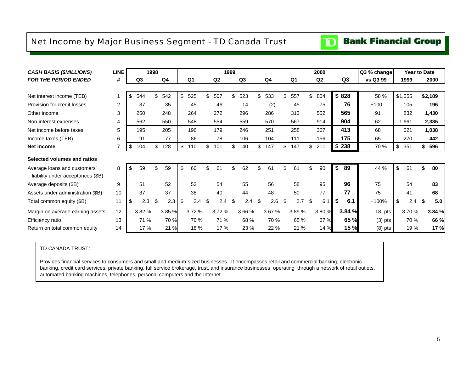### <span id="page-6-0"></span>Net Income by Major Business Segment - TD Canada Trust

#### **Bank Financial Group**  $\mathbf{D}$

| <b>CASH BASIS (\$MILLIONS)</b>    | LINE |                | 1998 |        |                |     |       | 1999 |                |     |                |                |     | 2000   |                | Q3 % change | <b>Year to Date</b> |   |         |
|-----------------------------------|------|----------------|------|--------|----------------|-----|-------|------|----------------|-----|----------------|----------------|-----|--------|----------------|-------------|---------------------|---|---------|
| <b>FOR THE PERIOD ENDED</b>       | #    | Q <sub>3</sub> |      | Q4     | Q <sub>1</sub> |     | Q2    |      | Q <sub>3</sub> |     | Q <sub>4</sub> | Q <sub>1</sub> |     | Q2     | Q <sub>3</sub> | vs Q3 99    | 1999                |   | 2000    |
|                                   |      |                |      |        |                |     |       |      |                |     |                |                |     |        |                |             |                     |   |         |
| Net interest income (TEB)         |      | \$<br>544      | \$   | 542    | \$<br>525      | \$  | 507   | \$   | 523            | \$  | 533            | \$<br>557      | \$  | 804    | \$828          | 58 %        | \$1,555             |   | \$2,189 |
| Provision for credit losses       | 2    | 37             |      | 35     | 45             |     | 46    |      | 14             |     | (2)            | 45             |     | 75     | 76             | $+100$      | 105                 |   | 196     |
| Other income                      | 3    | 250            |      | 248    | 264            |     | 272   |      | 296            |     | 286            | 313            |     | 552    | 565            | 91          | 832                 |   | 1,430   |
| Non-interest expenses             | 4    | 562            |      | 550    | 548            |     | 554   |      | 559            |     | 570            | 567            |     | 914    | 904            | 62          | 1,661               |   | 2,385   |
| Net income before taxes           | 5    | 195            |      | 205    | 196            |     | 179   |      | 246            |     | 251            | 258            |     | 367    | 413            | 68          | 621                 |   | 1,038   |
| Income taxes (TEB)                | 6    | 91             |      | 77     | 86             |     | 78    |      | 106            |     | 104            | 111            |     | 156    | 175            | 65          | 270                 |   | 442     |
| Net income                        | 7    | \$<br>104      | \$   | 128    | \$<br>110      | \$  | 101   | \$   | 140            | \$  | 147            | \$<br>147      |     | \$211  | \$238          | 70 %        | \$<br>351           |   | 596     |
| Selected volumes and ratios       |      |                |      |        |                |     |       |      |                |     |                |                |     |        |                |             |                     |   |         |
| Average loans and customers'      | 8    | \$<br>59       | \$.  | 59     | \$<br>60       | \$. | 61    | \$.  | 62             | \$  | 61             | \$<br>61       | \$. | 90     | \$<br>89       | 44 %        | \$<br>61            |   | 80      |
| liability under acceptances (\$B) |      |                |      |        |                |     |       |      |                |     |                |                |     |        |                |             |                     |   |         |
| Average deposits (\$B)            | 9    | 51             |      | 52     | 53             |     | 54    |      | 55             |     | 56             | 58             |     | 95     | 96             | 75          | 54                  |   | 83      |
| Assets under administration (\$B) | 10   | 37             |      | 37     | 38             |     | 40    |      | 44             |     | 48             | 50             |     | 77     | 77             | 75          | 41                  |   | 68      |
| Total common equity (\$B)         | 11   | \$<br>2.3      | \$   | 2.3    | \$<br>2.4      | \$  | 2.4   | \$   | 2.4            | \$. | 2.6            | \$<br>2.7      | \$. | 6.1    | \$<br>6.1      | +100%       | \$<br>2.4           | S | 5.0     |
| Margin on average earning assets  | 12   | 3.82%          |      | 3.85 % | 3.72 %         |     | 3.72% |      | 3.66 %         |     | 3.67 %         | 3.89%          |     | 3.80 % | 3.84 %         | 18 pts      | 3.70%               |   | 3.84 %  |
| Efficiency ratio                  | 13   | 71 %           |      | 70 %   | 70 %           |     | 71 %  |      | 68 %           |     | 70 %           | 65 %           |     | 67 %   | 65 %           | $(3)$ pts   | 70 %                |   | 66 %    |
| Return on total common equity     | 14   | 17 %           |      | 21 %   | 18 %           |     | 17 %  |      | 23 %           |     | 22 %           | 21 %           |     | 14 %   | <b>15 %</b>    | $(8)$ pts   | 19 %                |   | 17 %    |

#### TD CANADA TRUST:

Provides financial services to consumers and small and medium-sized businesses. It encompasses retail and commercial banking, electronic banking, credit card services, private banking, full service brokerage, trust, and insurance businesses, operating through a network of retail outlets, automated banking machines, telephones, personal computers and the Internet.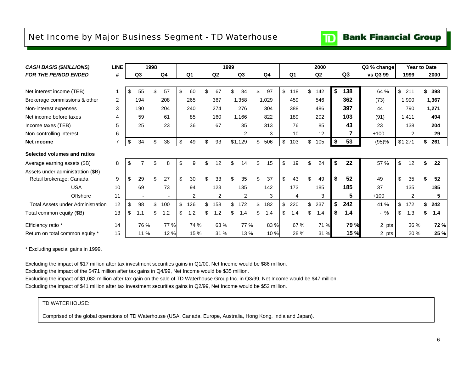### <span id="page-7-0"></span>Net Income by Major Business Segment - TD Waterhouse

#### **Bank Financial Group**  $\mathbf{D}$

| <b>CASH BASIS (\$MILLIONS)</b>           | <b>LINE</b> |           | 1998 |                |                        |     |                | 1999           |                |     |       |                | 2000           |                | Q3 % change | <b>Year to Date</b> |    |       |
|------------------------------------------|-------------|-----------|------|----------------|------------------------|-----|----------------|----------------|----------------|-----|-------|----------------|----------------|----------------|-------------|---------------------|----|-------|
| <b>FOR THE PERIOD ENDED</b>              | #           | Q3        |      | Q <sub>4</sub> | Q <sub>1</sub>         |     | Q2             |                | Q <sub>3</sub> |     | Q4    | Q <sub>1</sub> | Q <sub>2</sub> | Q <sub>3</sub> | vs Q3 99    | 1999                |    | 2000  |
|                                          |             |           |      |                |                        |     |                |                |                |     |       |                |                |                |             |                     |    |       |
| Net interest income (TEB)                |             | \$<br>55  | \$   | 57             | \$<br>60               | \$. | 67             |                | 84             |     | 97    | \$<br>118      | \$<br>142      | \$<br>138      | 64 %        | \$<br>211           |    | 398   |
| Brokerage commissions & other            | 2           | 194       |      | 208            | 265                    |     | 367            |                | 1,358          |     | 1,029 | 459            | 546            | 362            | (73)        | 1,990               |    | 1,367 |
| Non-interest expenses                    | 3           | 190       |      | 204            | 240                    |     | 274            |                | 276            |     | 304   | 388            | 486            | 397            | 44          | 790                 |    | 1,271 |
| Net income before taxes                  | 4           | 59        |      | 61             | 85                     |     | 160            |                | 1,166          |     | 822   | 189            | 202            | 103            | (91)        | 1,411               |    | 494   |
| Income taxes (TEB)                       | 5           | 25        |      | 23             | 36                     |     | 67             |                | 35             |     | 313   | 76             | 85             | 43             | 23          | 138                 |    | 204   |
| Non-controlling interest                 | 6           |           |      |                |                        |     |                |                | $\overline{2}$ |     | 3     | 10             | 12             | 7              | $+100$      | $\overline{2}$      |    | 29    |
| <b>Net income</b>                        | 7           | \$<br>34  | \$   | 38             | \$<br>49               | \$  | 93             |                | \$1,129        | \$  | 506   | \$<br>103      | \$<br>105      | \$<br>53       | (95)%       | \$1,271             | \$ | 261   |
| Selected volumes and ratios              |             |           |      |                |                        |     |                |                |                |     |       |                |                |                |             |                     |    |       |
| Average earning assets (\$B)             | 8           | \$        | \$   | 8              | \$<br>9                | \$  | 12             | $\mathfrak{L}$ | 14             | \$  | 15    | \$<br>19       | \$<br>24       | \$<br>22       | 57 %        | \$<br>12            | \$ | 22    |
| Assets under administration (\$B)        |             |           |      |                |                        |     |                |                |                |     |       |                |                |                |             |                     |    |       |
| Retail brokerage: Canada                 | 9           | 29        | \$   | 27             | \$<br>30               | \$. | 33             |                | 35             | \$. | 37    | \$<br>43       | \$<br>49       | \$<br>52       | 49          | 35                  |    | 52    |
| <b>USA</b>                               | 10          | 69        |      | 73             | 94                     |     | 123            |                | 135            |     | 142   | 173            | 185            | 185            | 37          | 135                 |    | 185   |
| Offshore                                 | 11          |           |      |                | 2                      |     | $\overline{2}$ |                | 2              |     | 3     | 4              | 3              | 5              | $+100$      | $\overline{2}$      |    | 5     |
| <b>Total Assets under Administration</b> | 12          | \$<br>98  | \$   | 100            | \$<br>126              | \$  | 158            | \$             | 172            | \$  | 182   | \$<br>220      | \$<br>237      | \$<br>242      | 41 %        | \$<br>172           | S. | 242   |
| Total common equity (\$B)                | 13          | \$<br>1.1 | \$   | 1.2            | \$<br>$\cdot$ .2<br>-1 | \$  | 1.2            |                | 1.4            |     | 1.4   | \$<br>1.4      | \$<br>1.4      | \$<br>1.4      | $-$ %       | \$<br>1.3           |    | 1.4   |
| Efficiency ratio *                       | 14          | 76 %      |      | 77 %           | 74 %                   |     | 63 %           |                | 77 %           |     | 83 %  | 67 %           | 71 %           | 79 %           | 2 pts       | 36 %                |    | 72 %  |
| Return on total common equity *          | 15          | 11 %      |      | 12 %           | 15 %                   |     | 31%            |                | 13 %           |     | 10 %  | 28 %           | 31 %           | 15 %           | 2 pts       | 20 %                |    | 25 %  |

\* Excluding special gains in 1999.

Excluding the impact of \$17 million after tax investment securities gains in Q1/00, Net Income would be \$86 million.

Excluding the impact of the \$471 million after tax gains in Q4/99, Net Income would be \$35 million.

Excluding the impact of \$1,082 million after tax gain on the sale of TD Waterhouse Group Inc. in Q3/99, Net Income would be \$47 million.

Excluding the impact of \$41 million after tax investment securities gains in Q2/99, Net Income would be \$52 million.

#### TD WATERHOUSE:

Comprised of the global operations of TD Waterhouse (USA, Canada, Europe, Australia, Hong Kong, India and Japan).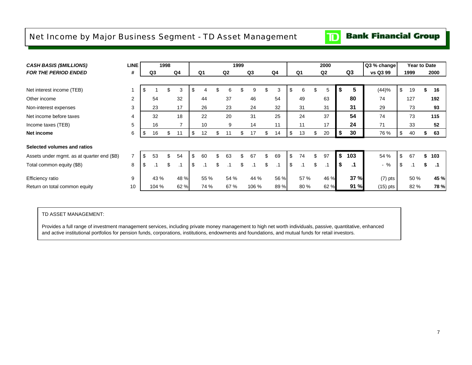### <span id="page-8-0"></span>Net Income by Major Business Segment - TD Asset Management

#### **Bank Financial Group**  $|\mathbf{D}|$

| <b>CASH BASIS (\$MILLIONS)</b>             | <b>LINE</b>    |          | 1998 |                |                 |     |                | 1999 |                |                 |                 | 2000           |    |           | Q3 % change | Year to Date |                 |
|--------------------------------------------|----------------|----------|------|----------------|-----------------|-----|----------------|------|----------------|-----------------|-----------------|----------------|----|-----------|-------------|--------------|-----------------|
| <b>FOR THE PERIOD ENDED</b>                | #              | Q3       |      | Q4             | Q <sub>1</sub>  |     | Q <sub>2</sub> |      | Q <sub>3</sub> | Q4              | Q1              | Q <sub>2</sub> |    | Q3        | vs Q3 99    | 1999         | 2000            |
|                                            |                |          |      |                |                 |     |                |      |                |                 |                 |                |    |           |             |              |                 |
| Net interest income (TEB)                  |                | \$       | Ъ    | 3              | \$              | \$  | 6              |      | 9              | \$<br>3         | \$<br>6         | \$<br>5        | ъ  | 5         | (44)%       | \$<br>19     | \$<br>16        |
| Other income                               | $\overline{2}$ | 54       |      | 32             | 44              |     | 37             |      | 46             | 54              | 49              | 63             |    | 80        | 74          | 127          | 192             |
| Non-interest expenses                      | 3              | 23       |      | 17             | 26              |     | 23             |      | 24             | 32              | 31              | 31             |    | 31        | 29          | 73           | 93              |
| Net income before taxes                    | 4              | 32       |      | 18             | 22              |     | 20             |      | 31             | 25              | 24              | 37             |    | 54        | 74          | 73           | 115             |
| Income taxes (TEB)                         | 5              | 16       |      | $\overline{ }$ | 10              |     | 9              |      | 14             | 11              | 11              | 17             |    | 24        | 71          | 33           | 52              |
| Net income                                 | 6              | \$<br>16 | \$   | 11             | \$<br>12        | \$  | 11             | ж,   | 17             | \$<br>14        | \$<br>13        | \$<br>20       | æ. | 30        | 76 %        | \$<br>40     | 63              |
| Selected volumes and ratios                |                |          |      |                |                 |     |                |      |                |                 |                 |                |    |           |             |              |                 |
| Assets under mgmt. as at quarter end (\$B) | $\overline{7}$ | \$<br>53 | \$   | 54             | \$<br>60        | \$. | 63             |      | 67             | \$<br>69        | \$<br>74        | \$<br>97       | \$ | 103       | 54 %        | \$<br>67     | 103             |
| Total common equity (\$B)                  | 8              | \$       | \$   | .1             | \$<br>$\cdot$ 1 | \$  |                | ደ    |                | \$<br>$\cdot$ 1 | \$<br>$\cdot$ 1 | \$<br>.1       | S  | $\cdot$ 1 | $-$ %       | \$<br>.1     | \$<br>$\cdot$ 1 |
| Efficiency ratio                           | 9              | 43 %     |      | 48 %           | 55 %            |     | 54 %           |      | 44 %           | 56 %            | 57 %            | 46 %           |    | 37 %      | $(7)$ pts   | 50 %         | 45 %            |
| Return on total common equity              | 10             | 104 %    |      | 62 %           | 74 %            |     | 67 %           |      | 106 %          | 89 %            | 80%             | 62 %           |    | 91 %      | $(15)$ pts  | 82 %         | 78 %            |

TD ASSET MANAGEMENT:

Provides a full range of investment management services, including private money management to high net worth individuals, passive, quantitative, enhanced and active institutional portfolios for pension funds, corporations, institutions, endowments and foundations, and mutual funds for retail investors.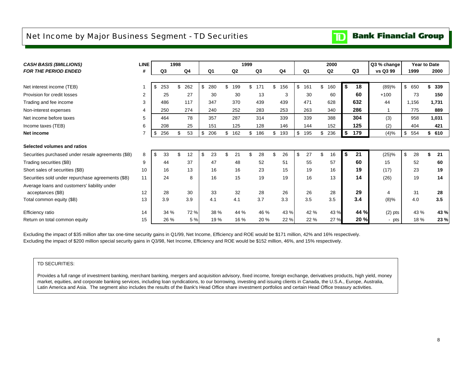### <span id="page-9-0"></span>Net Income by Major Business Segment - TD Securities

# **TD** Bank Financial Group

| <b>CASH BASIS (\$MILLIONS)</b>                     | <b>LINE</b> |           | 1998           |           |     |                | 1999 |                |           |                | 2000           |    |      | Q3 % change | Year to Date |           |
|----------------------------------------------------|-------------|-----------|----------------|-----------|-----|----------------|------|----------------|-----------|----------------|----------------|----|------|-------------|--------------|-----------|
| <b>FOR THE PERIOD ENDED</b>                        | #           | Q3        | Q <sub>4</sub> | Q1        |     | Q <sub>2</sub> |      | Q <sub>3</sub> | Q4        | Q <sub>1</sub> | Q <sub>2</sub> |    | Q3   | vs Q3 99    | 1999         | 2000      |
|                                                    |             |           |                |           |     |                |      |                |           |                |                |    |      |             |              |           |
| Net interest income (TEB)                          |             | \$<br>253 | \$<br>262      | \$<br>280 |     | 199            | \$.  | 171            | \$<br>156 | \$<br>161      | \$<br>160      | \$ | 18   | (89)%       | \$650        | \$<br>339 |
| Provision for credit losses                        | 2           | 25        | 27             | 30        |     | 30             |      | 13             | 3         | 30             | 60             |    | 60   | $+100$      | 73           | 150       |
| Trading and fee income                             | 3           | 486       | 117            | 347       |     | 370            |      | 439            | 439       | 471            | 628            |    | 632  | 44          | 1,156        | 1,731     |
| Non-interest expenses                              | 4           | 250       | 274            | 240       |     | 252            |      | 283            | 253       | 263            | 340            |    | 286  | 1           | 775          | 889       |
| Net income before taxes                            | 5           | 464       | 78             | 357       |     | 287            |      | 314            | 339       | 339            | 388            |    | 304  | (3)         | 958          | 1,031     |
| Income taxes (TEB)                                 | 6           | 208       | 25             | 151       |     | 125            |      | 128            | 146       | 144            | 152            |    | 125  | (2)         | 404          | 421       |
| Net income                                         |             | \$<br>256 | 53<br>\$       | \$<br>206 | \$. | 162            | \$   | 186            | \$<br>193 | \$<br>195      | \$<br>236      | \$ | 179  | (4)%        | \$<br>554    | \$<br>610 |
| Selected volumes and ratios                        |             |           |                |           |     |                |      |                |           |                |                |    |      |             |              |           |
| Securities purchased under resale agreements (\$B) | 8           | \$<br>33  | \$<br>12       | \$<br>23  | \$  | 21             |      | 28             | \$<br>26  | \$<br>27       | 16             | \$ | 21   | (25)%       | \$<br>28     | \$<br>21  |
| Trading securities (\$B)                           | 9           | 44        | 37             | 47        |     | 48             |      | 52             | 51        | 55             | 57             |    | 60   | 15          | 52           | 60        |
| Short sales of securities (\$B)                    | 10          | 16        | 13             | 16        |     | 16             |      | 23             | 15        | 19             | 16             |    | 19   | (17)        | 23           | 19        |
| Securities sold under repurchase agreements (\$B)  | 11          | 24        | 8              | 16        |     | 15             |      | 19             | 19        | 16             | 13             |    | 14   | (26)        | 19           | 14        |
| Average loans and customers' liability under       |             |           |                |           |     |                |      |                |           |                |                |    |      |             |              |           |
| acceptances (\$B)                                  | 12          | 28        | 30             | 33        |     | 32             |      | 28             | 26        | 26             | 28             |    | 29   | 4           | 31           | 28        |
| Total common equity (\$B)                          | 13          | 3.9       | 3.9            | 4.1       |     | 4.1            |      | 3.7            | 3.3       | 3.5            | 3.5            |    | 3.4  | (8)%        | 4.0          | 3.5       |
| Efficiency ratio                                   | 14          | 34 %      | 72 %           | 38 %      |     | 44 %           |      | 46 %           | 43 %      | 42 %           | 43 %           |    | 44 % | $(2)$ pts   | 43 %         | 43 %      |
| Return on total common equity                      | 15          | 26 %      | 5 %            | 19%       |     | 16 %           |      | 20 %           | 22 %      | 22 %           | 27 %           |    | 20 % | - pts       | 18 %         | 23 %      |

Excluding the impact of \$35 million after tax one-time security gains in Q1/99, Net Income, Efficiency and ROE would be \$171 million, 42% and 16% respectively. Excluding the impact of \$200 million special security gains in Q3/98, Net Income, Efficiency and ROE would be \$152 million, 46%, and 15% respectively.

#### TD SECURITIES:

Provides a full range of investment banking, merchant banking, mergers and acquisition advisory, fixed income, foreign exchange, derivatives products, high yield, money market, equities, and corporate banking services, including loan syndications, to our borrowing, investing and issuing clients in Canada, the U.S.A., Europe, Australia, Latin America and Asia. The segment also includes the results of the Bank's Head Office share investment portfolios and certain Head Office treasury activities.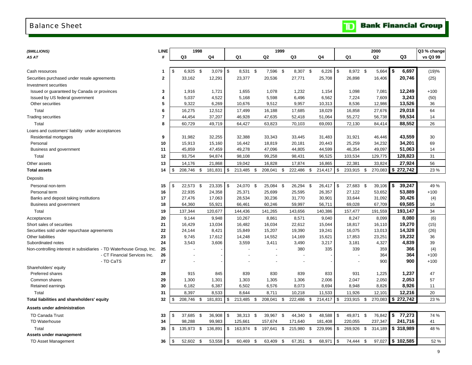### <span id="page-10-0"></span>Balance Sheet

|  |  | <b>TD</b> Bank Financial Group |  |
|--|--|--------------------------------|--|
|--|--|--------------------------------|--|

| (\$MILLIONS)                                                         | <b>LINE</b> |                           | 1998 |                  |                        | 1999                   |     |                   |      |                      |            |                      |      | 2000              |      |                     | Q3 % change |
|----------------------------------------------------------------------|-------------|---------------------------|------|------------------|------------------------|------------------------|-----|-------------------|------|----------------------|------------|----------------------|------|-------------------|------|---------------------|-------------|
| AS AT                                                                | #           | Q3                        |      | Q4               | Q1                     | Q <sub>2</sub>         |     | Q3                |      | Q4                   |            | Q1                   |      | Q <sub>2</sub>    |      | Q3                  | vs Q3 99    |
|                                                                      |             |                           |      |                  |                        |                        |     |                   |      |                      |            |                      |      |                   |      |                     |             |
| Cash resources                                                       | 1           | \$<br>$6,925$ \$          |      | 3,079            | \$<br>8,531 \$         | 7,596 \$               |     | 8,307 \$          |      | 6,226                | $\sqrt{3}$ | 8,972 \$             |      | 5,664             | l \$ | 6,697               | (19)%       |
| Securities purchased under resale agreements                         | $\mathbf 2$ | 33,162                    |      | 12,291           | 23,377                 | 20,536                 |     | 27,771            |      | 25,708               |            | 26,898               |      | 16,406            |      | 20,746              | (25)        |
| Investment securities                                                |             |                           |      |                  |                        |                        |     |                   |      |                      |            |                      |      |                   |      |                     |             |
| Issued or guaranteed by Canada or provinces                          | 3           | 1,916                     |      | 1,721            | 1,655                  | 1,078                  |     | 1,232             |      | 1,154                |            | 1,098                |      | 7,081             |      | 12,249              | $+100$      |
| Issued by US federal government                                      | 4           | 5,037                     |      | 4,522            | 5,168                  | 5,598                  |     | 6,496             |      | 6,562                |            | 7,224                |      | 7,609             |      | 3,243               | (50)        |
| Other securities                                                     | 5           | 9,322                     |      | 6,269            | 10,676                 | 9,512                  |     | 9,957             |      | 10,313               |            | 8,536                |      | 12,986            |      | 13,526              | 36          |
| Total                                                                | 6           | 16,275                    |      | 12,512           | 17,499                 | 16,188                 |     | 17,685            |      | 18,029               |            | 16,858               |      | 27,676            |      | 29,018              | 64          |
| <b>Trading securities</b>                                            | 7           | 44,454                    |      | 37,207           | 46,928                 | 47,635                 |     | 52,418            |      | 51,064               |            | 55,272               |      | 56,738            |      | 59,534              | 14          |
| Total                                                                | 8           | 60,729                    |      | 49,719           | 64,427                 | 63,823                 |     | 70,103            |      | 69,093               |            | 72,130               |      | 84,414            |      | 88,552              | 26          |
| Loans and customers' liability under acceptances                     |             |                           |      |                  |                        |                        |     |                   |      |                      |            |                      |      |                   |      |                     |             |
| Residential mortgages                                                | 9           | 31,982                    |      | 32,255           | 32,388                 | 33,343                 |     | 33,445            |      | 31,483               |            | 31,921               |      | 46,446            |      | 43,559              | 30          |
| Personal                                                             | 10          | 15,913                    |      | 15,160           | 16,442                 | 18,819                 |     | 20,181            |      | 20,443               |            | 25,259               |      | 34,232            |      | 34,201              | 69          |
| Business and government                                              | 11          | 45,859                    |      | 47,459           | 49,278                 | 47,096                 |     | 44,805            |      | 44,599               |            | 46,354               |      | 49,097            |      | 51,063              | 14          |
| Total                                                                | 12          | 93,754                    |      | 94,874           | 98,108                 | 99,258                 |     | 98,431            |      | 96,525               |            | 103,534              |      | 129,775           |      | 128,823             | 31          |
| Other assets                                                         | 13          | 14,176                    |      | 21,868           | 19,042                 | 16,828                 |     | 17,874            |      | 16,865               |            | 22,381               |      | 33,824            |      | 27,924              | 56          |
| <b>Total assets</b>                                                  | 14          | \$<br>208,746             | \$   | 181,831          | \$<br>213,485          | \$<br>208,041          | \$  | 222,486           | \$   | 214,417              | \$         | 233,915              | \$   | 270,083           |      | \$272,742           | 23 %        |
| Deposits                                                             |             |                           |      |                  |                        |                        |     |                   |      |                      |            |                      |      |                   |      |                     |             |
| Personal non-term                                                    | 15          | \$<br>22,573              | \$   | 23,335           | \$<br>24,070           | \$<br>25,084           | -\$ | 26,294            | - \$ | 26,417               | l \$       | 27,683               | - \$ | 39,106            | \$   | 39,247              | 49 %        |
| Personal term                                                        | 16          | 22,935                    |      | 24,358           | 25,371                 | 25,699                 |     | 25,595            |      | 26,357               |            | 27,122               |      | 53,652            |      | 53,889              | $+100$      |
| Banks and deposit taking institutions                                | 17          | 27,476                    |      | 17,063           | 28,534                 | 30,236                 |     | 31,770            |      | 30,901               |            | 33,644               |      | 31,092            |      | 30,426              | (4)         |
| Business and government                                              | 18          | 64,360                    |      | 55,921           | 66,461                 | 60,246                 |     | 59,997            |      | 56,711               |            | 69,028               |      | 67,709            |      | 69,585              | 16          |
| Total                                                                | 19          | 137,344                   |      | 120,677          | 144,436                | 141,265                |     | 143,656           |      | 140,386              |            | 157,477              |      | 191,559           |      | 193,147             | 34          |
| Acceptances                                                          | 20          | 9,144                     |      | 9,948            | 10,267                 | 8,861                  |     | 8,571             |      | 9,040                |            | 8,247                |      | 8,099             |      | 8,080               | (6)         |
| Short sales of securities                                            | 21          | 16,429                    |      | 13,034           | 16,482                 | 16,034                 |     | 22,612            |      | 15,044               |            | 18,817               |      | 16,110            |      | 19,270              | (15)        |
| Securities sold under repurchase agreements                          | 22          | 24,144                    |      | 8,421            | 15,849                 | 15,207                 |     | 19,390            |      | 19,241               |            | 16,075               |      | 13,013            |      | 14,328              | (26)        |
| Other liabilities                                                    | 23          | 9,745                     |      | 17,612           | 14,248                 | 14,552                 |     | 14,169            |      | 15,621               |            | 17,853               |      | 23,251            |      | 19,232              | 36          |
| Subordinated notes                                                   | 24          | 3,543                     |      | 3,606            | 3,559                  | 3,411                  |     | 3,490             |      | 3,217                |            | 3,181                |      | 4,327             |      | 4,839               | 39          |
| Non-controlling interest in subsidiaries - TD Waterhouse Group, Inc. | 25          |                           |      |                  |                        |                        |     | 380               |      | 335                  |            | 339                  |      | 359               |      | 366                 | (4)         |
| - CT Financial Services Inc.                                         | 26          |                           |      |                  |                        |                        |     |                   |      |                      |            |                      |      | 364               |      | 364                 | $+100$      |
| - TD CaTS                                                            | 27          |                           |      |                  |                        |                        |     | $\overline{a}$    |      |                      |            |                      |      | 900               |      | 900                 | $+100$      |
| Shareholders' equity                                                 |             |                           |      |                  |                        |                        |     |                   |      |                      |            |                      |      |                   |      |                     |             |
| Preferred shares                                                     | 28          | 915                       |      | 845              | 839                    | 830                    |     | 839               |      | 833                  |            | 931                  |      | 1,225             |      | 1,237               | 47          |
| Common shares                                                        | 29<br>30    | 1,300                     |      | 1,301            | 1,303                  | 1,305                  |     | 1,306             |      | 2,006                |            | 2,047                |      | 2,050             |      | 2,053               | 57          |
| Retained earnings                                                    |             | 6,182                     |      | 6,387            | 6,502                  | 6,576                  |     | 8,073             |      | 8,694                |            | 8,948                |      | 8,826             |      | 8,926               | 11          |
| Total<br>Total liabilities and shareholders' equity                  | 31<br>32    | \$<br>8,397<br>208,746 \$ |      | 8,533<br>181,831 | \$<br>8,644<br>213,485 | \$<br>8,711<br>208,041 | \$  | 10,218<br>222,486 | \$   | 11,533<br>214,417 \$ |            | 11,926<br>233,915 \$ |      | 12,101<br>270,083 |      | 12,216<br>\$272,742 | 20<br>23 %  |
|                                                                      |             |                           |      |                  |                        |                        |     |                   |      |                      |            |                      |      |                   |      |                     |             |
| Assets under administration                                          |             |                           |      |                  |                        |                        |     |                   |      |                      |            |                      |      |                   |      |                     |             |
| TD Canada Trust                                                      | 33          | \$<br>37,685 \$           |      | 36,908           | \$<br>38,313 \$        | 39,967 \$              |     | 44,340 \$         |      |                      |            | 49,871               | - \$ | 76,842            |      | \$77,273            | 74 %        |
| TD Waterhouse                                                        | 34          | 98,288                    |      | 99,983           | 125,661                | 157,674                |     | 171,640           |      | 181,408              |            | 220,055              |      | 237,347           |      | 241,716             | 41          |
| Total                                                                | 35          | \$<br>135,973 \$          |      | 136,891          | \$<br>163,974          | \$<br>197,641 \$       |     | 215,980           | \$   | 229,996              | \$         | 269,926              | \$   | 314,189           |      | \$318,989           | 48 %        |
| Assets under management                                              |             |                           |      |                  |                        |                        |     |                   |      |                      |            |                      |      |                   |      |                     |             |
| <b>TD Asset Management</b>                                           | 36          | \$<br>52,602              | \$   | 53,558           | \$<br>60,469           | \$<br>63,409           | \$  | 67,351            | \$   | 68,971               | \$         | 74,444               | \$   | 97,027            |      | \$102,585           | 52 %        |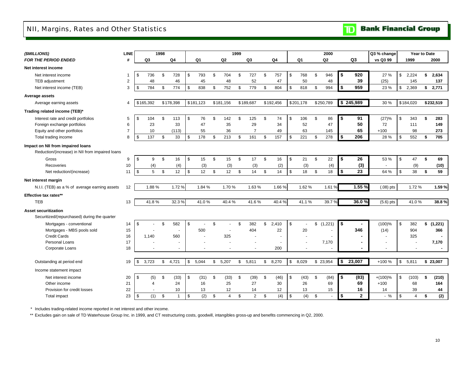### <span id="page-11-0"></span>NII, Margins, Rates and Other Statistics

**TD** Bank Financial Group

| (\$MILLIONS)                                                                         | LINE           |                     |                | 1998           |                      |              |           |                |                | 1999           |                |               |           |                |               | 2000           |            |              | Q3 % change |      | Year to Date   |    |           |
|--------------------------------------------------------------------------------------|----------------|---------------------|----------------|----------------|----------------------|--------------|-----------|----------------|----------------|----------------|----------------|---------------|-----------|----------------|---------------|----------------|------------|--------------|-------------|------|----------------|----|-----------|
| <b>FOR THE PERIOD ENDED</b>                                                          | #              |                     | Q <sub>3</sub> |                | Q <sub>4</sub>       |              | Q1        |                | Q <sub>2</sub> |                | Q3             |               | Q4        | Q <sub>1</sub> |               | Q <sub>2</sub> |            | Q3           | vs Q3 99    |      | 1999           |    | 2000      |
| Net interest income                                                                  |                |                     |                |                |                      |              |           |                |                |                |                |               |           |                |               |                |            |              |             |      |                |    |           |
| Net interest income                                                                  | -1             | \$                  | 736            | \$             | 728                  | \$           | 793       | \$             | 704            | \$             | 727            | \$            | 757       | \$<br>768      | \$            | 946            | \$         | 920          | 27 %        | \$   | 2,224          | \$ | 2,634     |
| TEB adjustment                                                                       | $\overline{c}$ |                     | 48             |                | 46                   |              | 45        |                | 48             |                | 52             |               | 47        | 50             |               | 48             |            | 39           | (25)        |      | 145            |    | 137       |
| Net interest income (TEB)                                                            | 3              | -\$                 | 784            | \$             | 774                  | \$           | 838       | \$             | 752            | \$             | 779            | \$            | 804       | \$<br>818      | \$            | 994            | \$         | 959          | 23 %        | \$   | 2,369          | \$ | 2,771     |
| Average assets                                                                       |                |                     |                |                |                      |              |           |                |                |                |                |               |           |                |               |                |            |              |             |      |                |    |           |
| Average earning assets                                                               | 4              |                     | \$165,392      |                | \$178.398            |              | \$181.123 |                | \$181,156      |                | \$189.687      |               | \$192.456 | \$201,178      |               | \$250.789      |            | \$245,989    | 30 %        |      | \$184.020      |    | \$232,519 |
| Trading related income (TEB)*                                                        |                |                     |                |                |                      |              |           |                |                |                |                |               |           |                |               |                |            |              |             |      |                |    |           |
| Interest rate and credit portfolios                                                  | 5              | \$                  | 104            | \$             | 113                  | \$           | 76        | $\mathfrak{s}$ | 142            | \$             | 125            | $\mathbb{S}$  | 74        | \$<br>106      | \$            | 86             | \$         | 91           | (27)%       | \$   | 343            | \$ | 283       |
| Foreign exchange portfolios                                                          | 6              |                     | 23             |                | 33                   |              | 47        |                | 35             |                | 29             |               | 34        | 52             |               | 47             |            | 50           | 72          |      | 111            |    | 149       |
| Equity and other portfolios                                                          | $\overline{7}$ |                     | 10             |                | (113)                |              | 55        |                | 36             |                | $\overline{7}$ |               | 49        | 63             |               | 145            |            | 65           | $+100$      |      | 98             |    | 273       |
| Total trading income                                                                 | 8              | \$                  | 137            | \$             | 33                   | \$           | 178       | \$             | 213            | \$             | 161            | \$            | 157       | \$<br>221      | \$            | 278            | \$         | 206          | 28 %        | \$   | 552            | \$ | 705       |
| Impact on NII from impaired loans<br>Reduction/(increase) in NII from impaired loans |                |                     |                |                |                      |              |           |                |                |                |                |               |           |                |               |                |            |              |             |      |                |    |           |
| Gross                                                                                | 9              | \$                  | 9              | \$             | 16                   | \$           | 15        | \$             | 15             | \$             | 17             | $\mathfrak s$ | 16        | \$<br>21       | \$            | 22             | \$         | 26           | 53 %        | \$   | 47             | \$ | 69        |
| Recoveries                                                                           | 10             |                     | (4)            |                | (4)                  |              | (3)       |                | (3)            |                | (3)            |               | (2)       | (3)            |               | (4)            |            | (3)          |             |      | (9)            |    | (10)      |
| Net reduction/(increase)                                                             | 11             | \$                  | 5              | $\mathfrak{S}$ | 12                   | $\mathbb{S}$ | 12        | \$             | 12             | \$             | 14             | \$            | 14        | \$<br>18       | $\mathbb{S}$  | 18             | \$         | 23           | 64 %        | \$   | 38             | \$ | 59        |
| Net interest margin                                                                  |                |                     |                |                |                      |              |           |                |                |                |                |               |           |                |               |                |            |              |             |      |                |    |           |
| N.I.I. (TEB) as a % of average earning assets                                        | 12             |                     | 1.88%          |                | 1.72%                |              | 1.84 %    |                | 1.70%          |                | 1.63%          |               | 1.66%     | 1.62%          |               | 1.61%          |            | 1.55 %       | $(.08)$ pts |      | 1.72%          |    | 1.59%     |
| Effective tax rates**                                                                |                |                     |                |                |                      |              |           |                |                |                |                |               |           |                |               |                |            |              |             |      |                |    |           |
| <b>TEB</b>                                                                           | 13             |                     | 41.8%          |                | 32.3%                |              | 41.0%     |                | 40.4%          |                | 41.6%          |               | 40.4%     | 41.1%          |               | 39.7%          |            | 36.0%        | $(5.6)$ pts |      | 41.0%          |    | 38.8%     |
| <b>Asset securitization</b><br>Securitized/(repurchased) during the quarter          |                |                     |                |                |                      |              |           |                |                |                |                |               |           |                |               |                |            |              |             |      |                |    |           |
| Mortgages - conventional                                                             | 14             | \$                  |                | \$             | 582                  | \$           |           | $\mathfrak{L}$ |                | $\mathfrak{L}$ | 382            | \$            | 2,410     | \$             | \$            | (1,221)        | $\sqrt{2}$ |              | (100)%      | \$   | 382            |    | \$(1,221) |
| Mortgages - MBS pools sold                                                           | 15             |                     |                |                |                      |              | 500       |                |                |                | 404            |               | 22        | 20             |               |                |            | 346          | (14)        |      | 904            |    | 366       |
| <b>Credit Cards</b>                                                                  | 16             |                     | 1,140          |                | 560                  |              |           |                | 325            |                |                |               |           |                |               |                |            |              |             |      | 325            |    |           |
| Personal Loans                                                                       | 17             |                     |                |                |                      |              |           |                |                |                |                |               |           |                |               | 7,170          |            |              |             |      |                |    | 7,170     |
| Corporate Loans                                                                      | 18             |                     |                |                | $\ddot{\phantom{1}}$ |              | $\sim$    |                | $\blacksquare$ |                | $\sim$         |               | 200       |                |               | $\sim$         |            |              | $\sim$      |      | $\sim$         |    | $\sim$    |
| Outstanding at period end                                                            | 19             | \$                  | 3,723          | \$             | 4,721                | $\mathbb{S}$ | 5,044     | \$             | 5,207          | \$             | 5,811          | \$            | 8,270     | \$<br>8,029    |               | \$23,954       | \$         | 23,007       | +100 %      | \$   | 5,811          |    | \$23,007  |
| Income statement impact                                                              |                |                     |                |                |                      |              |           |                |                |                |                |               |           |                |               |                |            |              |             |      |                |    |           |
| Net interest income                                                                  | 20             | \$                  | (5)            | \$             | (33)                 | \$           | (31)      | \$             | (33)           | \$             | (39)           | \$            | (46)      | \$<br>(43)     | \$            | (84)           | \$         | (83)         | $+(100)%$   | \$   | (103)          | Ŝ. | (210)     |
| Other income                                                                         | 21             |                     | 4              |                | 24                   |              | 16        |                | 25             |                | 27             |               | 30        | 26             |               | 69             |            | 69           | $+100$      |      | 68             |    | 164       |
| Provision for credit losses                                                          | 22             |                     |                |                | 10                   |              | 13        |                | 12             |                | 14             |               | 12        | 13             |               | 15             |            | 16           | 14          |      | 39             |    | 44        |
| Total impact                                                                         | 23             | $\pmb{\mathsf{\$}}$ | (1)            | $\mathsf{\$}$  | $\overline{1}$       | $\mathbb{S}$ | (2)       | $\mathfrak s$  | $\overline{4}$ | \$             | $\overline{2}$ | $\mathbb{S}$  | (4)       | \$<br>(4)      | $\mathfrak s$ |                | \$         | $\mathbf{2}$ | $\%$        | $\,$ | $\overline{4}$ | \$ | (2)       |

\* Includes trading-related income reported in net interest and other income.

\*\* Excludes gain on sale of TD Waterhouse Group Inc. in 1999, and CT restructuring costs, goodwill, intangibles gross-up and benefits commencing in Q2, 2000.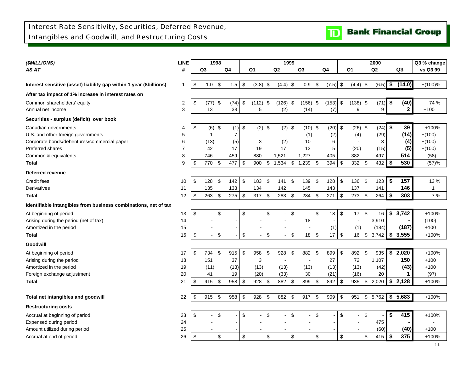

<span id="page-12-0"></span>

| (\$MILLIONS)                                                        | <b>LINE</b>    |                         | 1998           |                           |                |     |                |      | 1999         |                |                |                           |       |                           |                |               | 2000           |                | Q3 % change    |
|---------------------------------------------------------------------|----------------|-------------------------|----------------|---------------------------|----------------|-----|----------------|------|--------------|----------------|----------------|---------------------------|-------|---------------------------|----------------|---------------|----------------|----------------|----------------|
| AS AT                                                               | #              |                         | Q3             |                           | Q4             |     | Q <sub>1</sub> |      | Q2           |                | Q <sub>3</sub> |                           | Q4    |                           | Q1             |               | Q <sub>2</sub> | Q <sub>3</sub> | vs Q3 99       |
|                                                                     |                |                         |                |                           |                |     |                |      |              |                |                |                           |       |                           |                |               |                |                |                |
| Interest sensitive (asset) liability gap within 1 year (\$billions) | 1              | \$                      | 1.0            | \$                        | 1.5            | -\$ | $(3.8)$ \$     |      | $(4.4)$ \$   |                | 0.9            | \$                        | (7.5) | $\boldsymbol{\mathsf{S}}$ | $(4.4)$ \$     |               | (6.5)          | \$<br>(14.0)   | $+(100)\%$     |
| After tax impact of 1% increase in interest rates on                |                |                         |                |                           |                |     |                |      |              |                |                |                           |       |                           |                |               |                |                |                |
| Common shareholders' equity                                         | 2              | \$                      | $(77)$ \$      |                           | (74)           | \$  | (112)          | - \$ | $(126)$ \$   |                | $(156)$ \$     |                           | (153) | $\boldsymbol{\mathsf{S}}$ | $(138)$ \$     |               | (71)           | \$<br>(40)     | 74 %           |
| Annual net income                                                   | 3              |                         | 13             |                           | 38             |     | 5              |      | (2)          |                | (14)           |                           | (7)   |                           | 9              |               | 9              | $\mathbf{2}$   | $+100$         |
| Securities - surplus (deficit) over book                            |                |                         |                |                           |                |     |                |      |              |                |                |                           |       |                           |                |               |                |                |                |
| Canadian governments                                                | 4              | \$                      | $(6)$ \$       |                           | (1)            | \$  | $(2)$ \$       |      | $(2)$ \$     |                | $(10)$ \$      |                           | (20)  | \$                        | $(26)$ \$      |               | (24)           | \$<br>39       | $+100%$        |
| U.S. and other foreign governments                                  | 5              |                         | 1              |                           | $\overline{7}$ |     |                |      | $\sim$       |                | (1)            |                           | (2)   |                           | (4)            |               | (29)           | (14)           | $+(100)$       |
| Corporate bonds/debentures/commercial paper                         | 6              |                         | (13)           |                           | (5)            |     | 3              |      | (2)          |                | 10             |                           | 6     |                           | $\blacksquare$ |               | 3              | (4)            | $+(100)$       |
| Preferred shares                                                    | $\overline{7}$ |                         | 42             |                           | 17             |     | 19             |      | 17           |                | 13             |                           | 5     |                           | (20)           |               | (15)           | (5)            | $+(100)$       |
| Common & equivalents                                                | 8              |                         | 746            |                           | 459            |     | 880            |      | 1,521        |                | 1,227          |                           | 405   |                           | 382            |               | 497            | 514            | (58)           |
| <b>Total</b>                                                        | 9              | \$                      | 770            | -\$                       | 477            | \$  | 900            | \$   | 1,534        | \$             | 1,239          | -\$                       | 394   | \$                        | 332            | - \$          | 432            | \$<br>530      | (57)%          |
| <b>Deferred revenue</b>                                             |                |                         |                |                           |                |     |                |      |              |                |                |                           |       |                           |                |               |                |                |                |
| Credit fees                                                         | 10             | \$                      | 128            | \$                        | 142            | -\$ | 183            | \$   | 141          | \$             | 139            | $\boldsymbol{\mathsf{S}}$ | 128   | \$                        | 136            | \$            | 123            | \$<br>157      | 13 %           |
| <b>Derivatives</b>                                                  | 11             |                         | 135            |                           | 133            |     | 134            |      | 142          |                | 145            |                           | 143   |                           | 137            |               | 141            | 146            | $\mathbf{1}$   |
| <b>Total</b>                                                        | 12             | \$                      | 263            | \$                        | 275            | \$  | 317            | \$   | 283          | \$             | 284            | \$                        | 271   | \$                        | 273            | \$            | 264            | \$<br>303      | 7 %            |
| Identifiable intangibles from business combinations, net of tax     |                |                         |                |                           |                |     |                |      |              |                |                |                           |       |                           |                |               |                |                |                |
| At beginning of period                                              | 13             | $\sqrt[6]{\frac{1}{2}}$ | $\sim$         | $\sqrt[6]{\frac{1}{2}}$   |                | \$  | $\sim$         | \$   | $\mathbf{r}$ | $\mathfrak{S}$ | ÷.             | \$                        | 18    | $\sqrt[6]{\frac{1}{2}}$   | 17S            |               | 16             | \$3,742        | $+100%$        |
| Arising during the period (net of tax)                              | 14             |                         |                |                           |                |     |                |      |              |                | 18             |                           |       |                           |                |               | 3,910          |                | (100)          |
| Amortized in the period                                             | 15             |                         |                |                           |                |     |                |      |              |                | ä,             |                           | (1)   |                           | (1)            |               | (184)          | (187)          | $+100$         |
| Total                                                               | 16             | \$                      | $\overline{a}$ | $\boldsymbol{\mathsf{S}}$ |                | \$  |                | \$   |              | \$             | $18 \quad $$   |                           | 17    | \$                        | 16             | $\sqrt[6]{3}$ | 3,742          | \$<br>3,555    | $+100%$        |
| Goodwill                                                            |                |                         |                |                           |                |     |                |      |              |                |                |                           |       |                           |                |               |                |                |                |
| At beginning of period                                              | 17             | \$                      | 734            | \$                        | 915            | \$  | 958            | \$   | 928          | \$             | 882            | \$                        | 899   | \$                        | 892            | \$            | 935            | \$<br>2,020    | +100%          |
| Arising during the period                                           | 18             |                         | 151            |                           | 37             |     | 3              |      |              |                | $\blacksquare$ |                           | 27    |                           | 72             |               | 1,107          | 150            | $+100$         |
| Amortized in the period                                             | 19             |                         | (11)           |                           | (13)           |     | (13)           |      | (13)         |                | (13)           |                           | (13)  |                           | (13)           |               | (42)           | (43)           | $+100$         |
| Foreign exchange adjustment                                         | 20             |                         | 41             |                           | 19             |     | (20)           |      | (33)         |                | 30             |                           | (21)  |                           | (16)           |               | 20             | 1              | (97)           |
| <b>Total</b>                                                        | 21             | \$                      | 915            | \$                        | 958            | \$  | 928            | \$   | 882 \$       |                | 899            | -\$                       | 892   | \$                        | 935            | $\sqrt{3}$    | 2,020          | \$<br>2,128    | $+100%$        |
|                                                                     |                |                         |                |                           |                |     |                |      |              |                |                |                           |       |                           |                |               |                |                |                |
| Total net intangibles and goodwill                                  | 22             | \$                      | 915            | \$                        | 958            | \$  | 928            | \$   | 882          | \$             | 917            | \$                        | 909   | $\sqrt[6]{\frac{1}{2}}$   | 951            | \$            | 5,762          | \$5,683        | $+100%$        |
| <b>Restructuring costs</b>                                          |                |                         |                |                           |                |     |                |      |              |                |                |                           |       |                           |                |               |                |                |                |
| Accrual at beginning of period                                      | 23             | \$                      | $\sim$         | \$                        |                | \$  |                | \$   |              | \$             | L.             | \$                        |       | \$                        |                | \$            |                | \$<br>415      | $+100%$        |
| Expensed during period                                              | 24             |                         |                |                           |                |     |                |      |              |                |                |                           |       |                           |                |               | 475            |                | $\blacksquare$ |
| Amount utilized during period                                       | 25             |                         |                |                           |                |     |                |      |              |                |                |                           |       |                           |                |               | (60)           | (40)           | $+100$         |
| Accrual at end of period                                            | 26             | \$                      | $\blacksquare$ | $\mathfrak{L}$            |                | \$  |                | \$   |              | \$             |                | $\boldsymbol{\mathsf{S}}$ |       | \$                        |                | \$            | 415            | \$<br>375      | $+100%$        |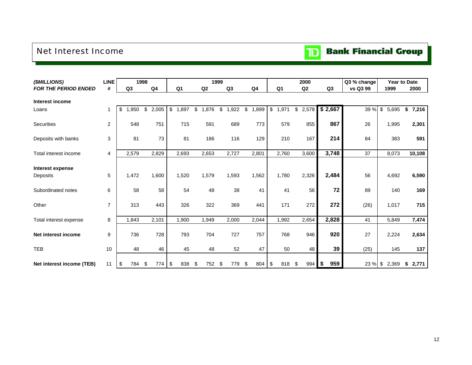### <span id="page-13-0"></span>Net Interest Income



| (\$MILLIONS)                 | LINE           | 1998           |             |                |                 | 1999 |                        |                |                | 2000      |           | Q3 % change | <b>Year to Date</b> |             |
|------------------------------|----------------|----------------|-------------|----------------|-----------------|------|------------------------|----------------|----------------|-----------|-----------|-------------|---------------------|-------------|
| <b>FOR THE PERIOD ENDED</b>  | #              | Q <sub>3</sub> | Q4          | Q <sub>1</sub> | Q2              |      | Q3                     | Q <sub>4</sub> | Q <sub>1</sub> | Q2        | Q3        | vs Q3 99    | 1999                | 2000        |
| Interest income              |                |                |             |                |                 |      |                        |                |                |           |           |             |                     |             |
| Loans                        | 1              | \$<br>,950     | \$<br>2,005 | \$<br>1,897    | \$<br>,876<br>1 | \$   | ,922<br>$\overline{1}$ | \$<br>1,899    | \$<br>1,971    | \$2,578   | \$2,667   | 39 %        | \$<br>5,695         | \$<br>7,216 |
| Securities                   | $\overline{2}$ | 548            | 751         | 715            | 591             |      | 689                    | 773            | 579            | 855       | 867       | 26          | 1,995               | 2,301       |
| Deposits with banks          | 3              | 81             | 73          | 81             | 186             |      | 116                    | 129            | 210            | 167       | 214       | 84          | 383                 | 591         |
|                              |                |                |             |                |                 |      |                        |                |                |           |           |             |                     |             |
| Total interest income        | 4              | 2,579          | 2,829       | 2,693          | 2,653           |      | 2,727                  | 2,801          | 2,760          | 3,600     | 3,748     | 37          | 8,073               | 10,108      |
| Interest expense<br>Deposits | 5              | 1,472          | 1,600       | 1,520          | 1,579           |      | 1,593                  | 1,562          | 1,780          | 2,326     | 2,484     | 56          | 4,692               | 6,590       |
| Subordinated notes           | 6              | 58             | 58          | 54             | 48              |      | 38                     | 41             | 41             | 56        | 72        | 89          | 140                 | 169         |
| Other                        | $\overline{7}$ | 313            | 443         | 326            | 322             |      | 369                    | 441            | 171            | 272       | 272       | (26)        | 1,017               | 715         |
| Total interest expense       | 8              | 1,843          | 2,101       | 1,900          | 1,949           |      | 2,000                  | 2,044          | 1,992          | 2,654     | 2,828     | 41          | 5,849               | 7,474       |
| Net interest income          | 9              | 736            | 728         | 793            | 704             |      | 727                    | 757            | 768            | 946       | 920       | 27          | 2,224               | 2,634       |
| <b>TEB</b>                   | 10             | 48             | 46          | 45             | 48              |      | 52                     | 47             | 50             | 48        | 39        | (25)        | 145                 | 137         |
| Net interest income (TEB)    | 11             | \$<br>784      | \$<br>774   | \$<br>838      | \$<br>752       | \$   | 779                    | \$<br>804      | \$<br>818      | \$<br>994 | 959<br>\$ | 23 %        | \$<br>2,369         | \$<br>2,771 |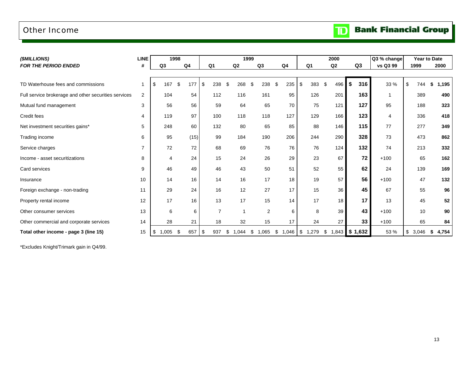### <span id="page-14-0"></span>Other Income

| (\$MILLIONS)                                         | <b>LINE</b>    |                | 1998           |                |            | 1999           |                |                | 2000        |           | Q3 % change |             | Year to Date |
|------------------------------------------------------|----------------|----------------|----------------|----------------|------------|----------------|----------------|----------------|-------------|-----------|-------------|-------------|--------------|
| <b>FOR THE PERIOD ENDED</b>                          | #              | Q <sub>3</sub> | Q <sub>4</sub> | Q <sub>1</sub> | Q2         | Q3             | Q <sub>4</sub> | Q <sub>1</sub> | Q2          | Q3        | vs Q3 99    | 1999        | 2000         |
|                                                      |                |                |                |                |            |                |                |                |             |           |             |             |              |
| TD Waterhouse fees and commissions                   |                | 167<br>\$      | \$<br>177      | \$<br>238      | 268<br>\$  | 238<br>.S      | \$<br>235      | \$<br>383      | 496<br>\$   | \$<br>316 | 33 %        | \$<br>744   | 1,195<br>£.  |
| Full service brokerage and other securities services | $\overline{2}$ | 104            | 54             | 112            | 116        | 161            | 95             | 126            | 201         | 163       |             | 389         | 490          |
| Mutual fund management                               | 3              | 56             | 56             | 59             | 64         | 65             | 70             | 75             | 121         | 127       | 95          | 188         | 323          |
| Credit fees                                          | 4              | 119            | 97             | 100            | 118        | 118            | 127            | 129            | 166         | 123       | 4           | 336         | 418          |
| Net investment securities gains*                     | 5              | 248            | 60             | 132            | 80         | 65             | 85             | 88             | 146         | 115       | 77          | 277         | 349          |
| Trading income                                       | 6              | 95             | (15)           | 99             | 184        | 190            | 206            | 244            | 290         | 328       | 73          | 473         | 862          |
| Service charges                                      | $\overline{7}$ | 72             | 72             | 68             | 69         | 76             | 76             | 76             | 124         | 132       | 74          | 213         | 332          |
| Income - asset securitizations                       | 8              | $\overline{4}$ | 24             | 15             | 24         | 26             | 29             | 23             | 67          | 72        | $+100$      | 65          | 162          |
| Card services                                        | 9              | 46             | 49             | 46             | 43         | 50             | 51             | 52             | 55          | 62        | 24          | 139         | 169          |
| Insurance                                            | 10             | 14             | 16             | 14             | 16         | 17             | 18             | 19             | 57          | 56        | $+100$      | 47          | 132          |
| Foreign exchange - non-trading                       | 11             | 29             | 24             | 16             | 12         | 27             | 17             | 15             | 36          | 45        | 67          | 55          | 96           |
| Property rental income                               | 12             | 17             | 16             | 13             | 17         | 15             | 14             | 17             | 18          | 17        | 13          | 45          | 52           |
| Other consumer services                              | 13             | 6              | 6              | $\overline{7}$ |            | $\overline{2}$ | 6              | 8              | 39          | 43        | $+100$      | 10          | 90           |
| Other commercial and corporate services              | 14             | 28             | 21             | 18             | 32         | 15             | 17             | 24             | 27          | 33        | $+100$      | 65          | 84           |
| Total other income - page 3 (line 15)                | 15             | 1,005<br>\$    | -\$<br>657     | \$<br>937      | 1,044<br>S | 1,065<br>\$    | \$             | 1,046 \$ 1,279 | \$<br>1,843 | \$1,632   | 53 %        | \$<br>3,046 | 4,754<br>S   |

\*Excludes Knight/Trimark gain in Q4/99.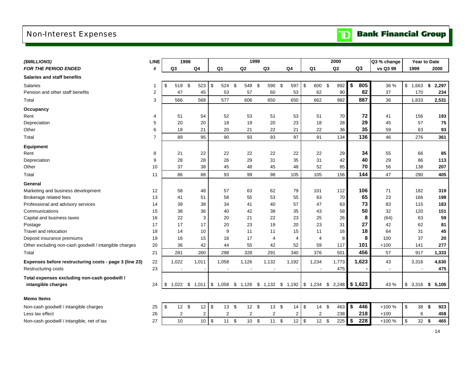# <span id="page-15-0"></span>Non-Interest Expenses

**TD** Bank Financial Group

| (\$MILLIONS)                                                       | <b>LINE</b>    |                | 1998           |                 |                         |                |                                     | 1999       |                |      |                |                | 2000           |                   |                | Q3 % change    |                     | <b>Year to Date</b> |       |
|--------------------------------------------------------------------|----------------|----------------|----------------|-----------------|-------------------------|----------------|-------------------------------------|------------|----------------|------|----------------|----------------|----------------|-------------------|----------------|----------------|---------------------|---------------------|-------|
| <b>FOR THE PERIOD ENDED</b>                                        | #              | Q <sub>3</sub> |                | Q <sub>4</sub>  | Q <sub>1</sub>          |                | Q2                                  |            | Q <sub>3</sub> |      | Q4             | Q <sub>1</sub> | Q <sub>2</sub> |                   | Q <sub>3</sub> | vs Q3 99       | 1999                |                     | 2000  |
| Salaries and staff benefits                                        |                |                |                |                 |                         |                |                                     |            |                |      |                |                |                |                   |                |                |                     |                     |       |
| <b>Salaries</b>                                                    | 1              | \$<br>519      | \$             | 523             | $\sqrt[6]{\frac{1}{2}}$ | 524            | - \$<br>549                         | \$         | 590            | \$   | 597            | \$<br>600      | \$<br>892      | \$                | 805            | 36 %           | \$1,663             | \$                  | 2,297 |
| Pension and other staff benefits                                   | 2              | 47             |                | 45              |                         | 53             | 57                                  |            | 60             |      | 53             | 62             | 90             |                   | 82             | 37             | 170                 |                     | 234   |
| Total                                                              | 3              | 566            |                | 568             |                         | 577            | 606                                 |            | 650            |      | 650            | 662            | 982            |                   | 887            | 36             | 1,833               |                     | 2,531 |
| Occupancy                                                          |                |                |                |                 |                         |                |                                     |            |                |      |                |                |                |                   |                |                |                     |                     |       |
| Rent                                                               | 4              | 51             |                | 54              |                         | 52             | 53                                  |            | 51             |      | 53             | 51             | 70             |                   | 72             | 41             | 156                 |                     | 193   |
| Depreciation                                                       | 5              | 20             |                | 20              |                         | 18             | 19                                  |            | 20             |      | 23             | 18             | 28             |                   | 29             | 45             | 57                  |                     | 75    |
| Other                                                              | 6              | 18             |                | 21              |                         | 20             | 21                                  |            | 22             |      | 21             | 22             | 36             |                   | 35             | 59             | 63                  |                     | 93    |
| Total                                                              | $\overline{7}$ | 89             |                | 95              |                         | 90             | 93                                  |            | 93             |      | 97             | 91             | 134            |                   | 136            | 46             | 276                 |                     | 361   |
| <b>Equipment</b>                                                   |                |                |                |                 |                         |                |                                     |            |                |      |                |                |                |                   |                |                |                     |                     |       |
| Rent                                                               | 8              | 21             |                | 22              |                         | 22             | 22                                  |            | 22             |      | 22             | 22             | 29             |                   | 34             | 55             | 66                  |                     | 85    |
| Depreciation                                                       | 9              | 28             |                | 28              |                         | 26             | 29                                  |            | 31             |      | 35             | 31             | 42             |                   | 40             | 29             | 86                  |                     | 113   |
| Other                                                              | 10             | 37             |                | 38              |                         | 45             | 48                                  |            | 45             |      | 48             | 52             | 85             |                   | 70             | 56             | 138                 |                     | 207   |
| Total                                                              | 11             | 86             |                | 88              |                         | 93             | 99                                  |            | 98             |      | 105            | 105            | 156            |                   | 144            | 47             | 290                 |                     | 405   |
| General                                                            |                |                |                |                 |                         |                |                                     |            |                |      |                |                |                |                   |                |                |                     |                     |       |
| Marketing and business development                                 | 12             | 58             |                | 48              |                         | 57             | 63                                  |            | 62             |      | 79             | 101            | 112            |                   | 106            | 71             | 182                 |                     | 319   |
| Brokerage related fees                                             | 13             | 41             |                | 51              |                         | 58             | 55                                  |            | 53             |      | 55             | 63             | 70             |                   | 65             | 23             | 166                 |                     | 198   |
| Professional and advisory services                                 | 14             | 39             |                | 38              |                         | 34             | 41                                  |            | 40             |      | 57             | 47             | 63             |                   | 73             | 83             | 115                 |                     | 183   |
| Communications                                                     | 15             | 38             |                | 36              |                         | 40             | 42                                  |            | 38             |      | 35             | 43             | 58             |                   | 50             | 32             | 120                 |                     | 151   |
| Capital and business taxes                                         | 16             | 22             |                | 3               |                         | 20             | 21                                  |            | 22             |      | 23             | 25             | 26             |                   | 8              | (64)           | 63                  |                     | 59    |
| Postage                                                            | 17             | 17             |                | 17              |                         | 20             | 23                                  |            | 19             |      | 20             | 23             | 31             |                   | 27             | 42             | 62                  |                     | 81    |
| Travel and relocation                                              | 18             | 14             |                | 10              |                         | 9              | 11                                  |            | 11             |      | 15             | 11             | 16             |                   | 18             | 64             | 31                  |                     | 45    |
| Deposit insurance premiums                                         | 19             | 16             |                | 15              |                         | 16             | 17                                  |            | $\overline{4}$ |      | $\overline{4}$ | 4              | 8              |                   | 8              | 100            | 37                  |                     | 20    |
| Other excluding non-cash goodwill / intangible charges             | 20             | 36             |                | 42              |                         | 44             | 55                                  |            | 42             |      | 52             | 59             | 117            |                   | 101            | $+100$         | 141                 |                     | 277   |
| Total                                                              | 21             | 281            |                | 260             |                         | 298            | 328                                 |            | 291            |      | 340            | 376            | 501            |                   | 456            | 57             | 917                 |                     | 1,333 |
| Expenses before restructuring costs - page 3 (line 23)             | 22             | 1,022          |                | 1,011           |                         | 1,058          | 1,126                               |            | 1,132          |      | 1,192          | 1,234          | 1,773          |                   | 1,623          | 43             | 3,316               |                     | 4,630 |
| <b>Restructuring costs</b>                                         | 23             |                | $\blacksquare$ |                 |                         |                | $\blacksquare$                      |            | $\sim$         |      |                | $\blacksquare$ | 475            |                   |                | $\blacksquare$ |                     |                     | 475   |
| Total expenses excluding non-cash goodwill /<br>intangible charges | 24             | 1,022<br>\$    | \$             | 1,011 \$ 1,058  |                         |                | $$1,126$ $$1,132$ $$1,192$ $$1,234$ |            |                |      |                |                | \$<br>2,248    |                   | \$1,623        | 43 %           | \$<br>3,316         | \$                  | 5,105 |
| <b>Memo Items</b>                                                  |                |                |                |                 |                         |                |                                     |            |                |      |                |                |                |                   |                |                |                     |                     |       |
| Non-cash goodwill / intangible charges                             | 25             | \$             | 12<br>\$       | 12              | \$                      | 13             | \$<br>12                            | $\sqrt{3}$ | 13             | \$   | 14             | \$<br>14       | \$<br>463      | \$                | 446            | +100 %         | \$<br>38            | \$                  | 923   |
| Less tax effect                                                    | 26             |                | $\overline{2}$ | 2               |                         | $\overline{c}$ | $\overline{c}$                      |            | $\overline{2}$ |      | 2              | 2              | 238            |                   | 218            | $+100$         |                     | 6                   | 458   |
| Non-cash goodwill / intangible, net of tax                         | 27             | 10             |                | 10 <sup>1</sup> | $\sqrt{3}$              | 11             | 10<br>\$                            | $\,$       | 11             | $\,$ | $12$ \$        | $12 \quad $$   | 225            | $\boldsymbol{\$}$ | 228            | +100 %         | $\sqrt[6]{3}$<br>32 | \$                  | 465   |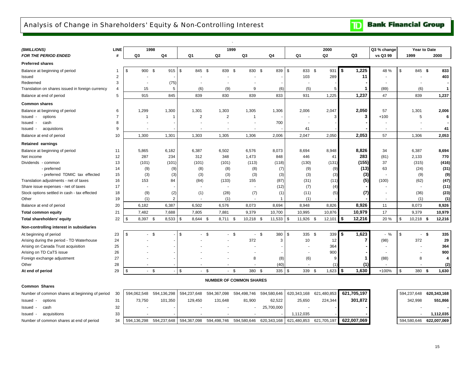### <span id="page-16-0"></span>Analysis of Change in Shareholders' Equity & Non-Controlling Interest

**Bank Financial Group** 

| (\$MILLIONS)                                     | <b>LINE</b>    |                          | 1998           |                |                | 1999                           |             |                 | 2000           |                | Q3 % change              |                   | Year to Date    |
|--------------------------------------------------|----------------|--------------------------|----------------|----------------|----------------|--------------------------------|-------------|-----------------|----------------|----------------|--------------------------|-------------------|-----------------|
| <b>FOR THE PERIOD ENDED</b>                      | #              | Q3                       | Q <sub>4</sub> | Q1             | Q2             | Q3                             | Q4          | Q1              | Q <sub>2</sub> | Q <sub>3</sub> | vs Q3 99                 | 1999              | 2000            |
| <b>Preferred shares</b>                          |                |                          |                |                |                |                                |             |                 |                |                |                          |                   |                 |
| Balance at beginning of period                   | -1             | \$<br>900 \$             | $915$ \$       | 845 \$         | 839 \$         | 830 \$                         | 839         | \$<br>833 \$    | 931            | \$<br>1,225    | 48 %                     | \$                | 833<br>845 \$   |
| Issued                                           | 2              |                          |                |                |                |                                |             | 103             | 289            | 11             |                          |                   | 403             |
| Redeemed                                         | 3              |                          | (75)           |                |                |                                |             |                 |                |                |                          |                   |                 |
| Translation on shares issued in foreign currency | $\overline{4}$ | 15                       | 5              | (6)            | (9)            | 9                              | (6)         | (5)             | 5              | 1              | (89)                     | (6)               | $\mathbf{1}$    |
| Balance at end of period                         | 5              | 915                      | 845            | 839            | 830            | 839                            | 833         | 931             | 1,225          | 1,237          | 47                       | 839               | 1,237           |
| <b>Common shares</b>                             |                |                          |                |                |                |                                |             |                 |                |                |                          |                   |                 |
| Balance at beginning of period                   | 6              | 1,299                    | 1,300          | 1,301          | 1,303          | 1,305                          | 1,306       | 2,006           | 2,047          | 2,050          | 57                       | 1,301             | 2,006           |
| options<br>Issued -                              | $\overline{7}$ | 1                        |                | $\overline{2}$ | $\overline{2}$ | $\mathbf 1$                    |             |                 |                | 3              | $+100$                   | 5                 | 6               |
| Issued -<br>cash                                 | 8              |                          |                |                |                |                                | 700         |                 |                |                |                          |                   |                 |
| acquistions<br>Issued -                          | 9              | $\overline{\phantom{a}}$ |                |                | $\blacksquare$ | ٠                              |             | 41              |                |                | $\overline{\phantom{a}}$ |                   | 41              |
| Balance at end of period                         | 10             | 1,300                    | 1,301          | 1,303          | 1,305          | 1,306                          | 2,006       | 2,047           | 2,050          | 2,053          | 57                       | 1,306             | 2,053           |
| <b>Retained earnings</b>                         |                |                          |                |                |                |                                |             |                 |                |                |                          |                   |                 |
| Balance at beginning of period                   | 11             | 5,865                    | 6,182          | 6,387          | 6,502          | 6,576                          | 8,073       | 8.694           | 8.948          | 8,826          | 34                       | 6,387             | 8,694           |
| Net income                                       | 12             | 287                      | 234            | 312            | 348            | 1,473                          | 848         | 446             | 41             | 283            | (81)                     | 2,133             | 770             |
| Dividends - common                               | 13             | (101)                    | (101)          | (101)          | (101)          | (113)                          | (118)       | (130)           | (131)          | (155)          | 37                       | (315)             | (416)           |
| - preferred                                      | 14             | (9)                      | (9)            | (8)            | (8)            | (8)                            | (7)         | (9)             | (9)            | (13)           | 63                       | (24)              | (31)            |
| - preferred TDMIC tax effected                   | 15             | (3)                      | (3)            | (3)            | (3)            | (3)                            | (3)         | (3)             | (3)            | (3)            |                          | (9)               | (9)             |
| Translation adjustments - net of taxes           | 16             | 153                      | 84             | (84)           | (133)          | 155                            | (87)        | (31)            | (11)           | (5)            | (100)                    | (62)              | (47)            |
| Share issue expenses - net of taxes              | 17             |                          |                |                | $\blacksquare$ | $\overline{a}$                 | (12)        | (7)             | (4)            |                |                          |                   | (11)            |
| Stock options settled in cash - tax effected     | 18             | (9)                      | (2)            | (1)            | (28)           | (7)                            | (1)         | (11)            | (5)            | (7)            |                          | (36)              | (23)            |
| Other                                            | 19             | (1)                      | 2              | $\sim$         | (1)            | ۰.                             | 1           | (1)             |                |                | $\sim$                   | (1)               | (1)             |
| Balance at end of period                         | 20             | 6,182                    | 6,387          | 6,502          | 6,576          | 8,073                          | 8,694       | 8,948           | 8,826          | 8,926          | 11                       | 8,073             | 8,926           |
| <b>Total common equity</b>                       | 21             | 7,482                    | 7,688          | 7,805          | 7,881          | 9,379                          | 10,700      | 10,995          | 10,876         | 10,979         | 17                       | 9,379             | 10,979          |
| Total shareholders' equity                       | 22             | 8,397 \$<br>\$           | 8,533          | \$<br>8,644 \$ | 8,711 \$       | 10,218 \$                      | 11,533      | \$<br>11,926 \$ | 12,101         | 12,216<br>5    | 20 %                     | \$<br>$10,218$ \$ | 12,216          |
| Non-controlling interest in subsidiaries         |                |                          |                |                |                |                                |             |                 |                |                |                          |                   |                 |
| At beginning of period                           | 23             | \$                       | - \$           | \$             | \$             | $-5$<br>$\sim$                 | \$<br>380   | \$<br>335 \$    | 339            | 1,623<br>\$    | $-$ %                    | \$                | 335<br>- \$     |
| Arising during the period - TD Waterhouse        | 24             |                          |                |                |                | 372                            | 3           | 10              | 12             | 7              | (98)                     | 372               | 29              |
| Arising on Canada Trust acquisition              | 25             |                          |                |                |                |                                |             |                 | 364            |                |                          |                   | 364             |
| Arising on TD CaTS issue                         | 26             |                          |                |                |                |                                |             |                 | 900            |                |                          |                   | 900             |
| Foreign exchange adjustment                      | 27             |                          |                |                |                | 8                              | (8)         | (6)             | 9              |                | (88)                     | 8                 | 4               |
| Other                                            | 28             |                          |                |                |                |                                | (40)        |                 |                | (1)            |                          |                   | (2)             |
| At end of period                                 | 29             | \$                       | $-5$           | \$             | \$             | $-$ \$<br>380 \$               | 335         | \$<br>339 \$    | 1,623          | l \$<br>1,630  | $+100%$                  | \$                | 380 \$<br>1,630 |
|                                                  |                |                          |                |                |                | <b>NUMBER OF COMMON SHARES</b> |             |                 |                |                |                          |                   |                 |
| <b>Common Shares</b>                             |                |                          |                |                |                |                                |             |                 |                |                |                          |                   |                 |
| Number of common shares at beginning of period   | 30             | 594,062,548              | 594,136,298    | 594,237,648    | 594,367,098    | 594,498,746                    | 594,580,646 | 620,343,168     | 621,480,853    | 621,705,197    |                          | 594,237,648       | 620,343,168     |
| Issued -<br>options                              | 31             | 73,750                   | 101,350        | 129,450        | 131,648        | 81,900                         | 62,522      | 25,650          | 224,344        | 301,872        |                          | 342,998           | 551,866         |
| Issued<br>cash<br>$\overline{\phantom{a}}$       | 32             |                          |                |                |                |                                | 25,700,000  |                 |                |                |                          |                   |                 |
| acquisitions<br>Issued                           | 33             |                          |                |                |                |                                |             | 1,112,035       |                |                |                          |                   | 1,112,035       |
| Number of common shares at end of period         | 34             | 594,136,298              | 594,237,648    | 594,367,098    | 594,498,746    | 594,580,646                    | 620,343,168 | 621,480,853     | 621,705,197    | 622.007.069    |                          | 594,580,646       | 622,007,069     |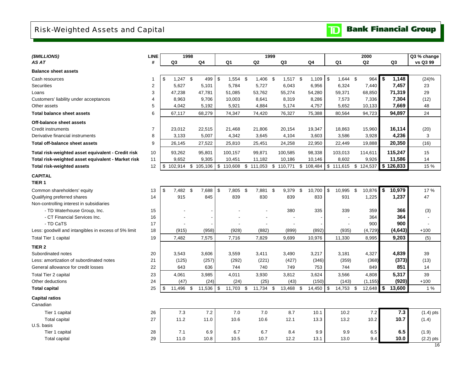# <span id="page-17-0"></span>Risk-Weighted Assets and Capital

**Bank Financial Group**  $\mathbf{D}$ 

| (\$MILLIONS)                                         | <b>LINE</b>    |                                  | 1998                     |               |            |               | 1999       |               |            |               |           |             |                       |               | 2000           |     |                | Q3 % change |
|------------------------------------------------------|----------------|----------------------------------|--------------------------|---------------|------------|---------------|------------|---------------|------------|---------------|-----------|-------------|-----------------------|---------------|----------------|-----|----------------|-------------|
| AS AT                                                | #              | Q3                               | Q4                       |               | Q1         | Q2            |            |               | Q3         |               | Q4        |             | Q1                    |               | Q <sub>2</sub> |     | Q <sub>3</sub> | vs Q3 99    |
| <b>Balance sheet assets</b>                          |                |                                  |                          |               |            |               |            |               |            |               |           |             |                       |               |                |     |                |             |
| Cash resources                                       | $\overline{1}$ | $1,247$ \$<br>\$                 | 499                      | \$            | $1,554$ \$ |               | $1,406$ \$ |               | $1,517$ \$ |               | 1,109     | \$          | 1,644 \$              |               | 964            | -\$ | 1,148          | (24)%       |
| <b>Securities</b>                                    | $\overline{2}$ | 5,627                            | 5,101                    |               | 5,784      |               | 5,727      |               | 6,043      |               | 6,956     |             | 6,324                 |               | 7,440          |     | 7,457          | 23          |
| Loans                                                | 3              | 47,238                           | 47,781                   |               | 51,085     |               | 53,762     |               | 55,274     |               | 54,280    |             | 59,371                |               | 68,850         |     | 71,319         | 29          |
| Customers' liability under acceptances               | 4              | 8,963                            | 9,706                    |               | 10,003     |               | 8,641      |               | 8,319      |               | 8,286     |             | 7,573                 |               | 7,336          |     | 7,304          | (12)        |
| Other assets                                         | 5              | 4,042                            | 5,192                    |               | 5,921      |               | 4,884      |               | 5,174      |               | 4,757     |             | 5,652                 |               | 10,133         |     | 7,669          | 48          |
| <b>Total balance sheet assets</b>                    | 6              | 67,117                           | 68,279                   |               | 74,347     |               | 74,420     |               | 76,327     |               | 75,388    |             | 80,564                |               | 94,723         |     | 94,897         | 24          |
| Off-balance sheet assets                             |                |                                  |                          |               |            |               |            |               |            |               |           |             |                       |               |                |     |                |             |
| <b>Credit instruments</b>                            | $\overline{7}$ | 23,012                           | 22,515                   |               | 21,468     |               | 21,806     |               | 20,154     |               | 19,347    |             | 18,863                |               | 15,960         |     | 16,114         | (20)        |
| Derivative financial instruments                     | 8              | 3,133                            | 5,007                    |               | 4,342      |               | 3,645      |               | 4,104      |               | 3,603     |             | 3,586                 |               | 3,928          |     | 4,236          | 3           |
| <b>Total off-balance sheet assets</b>                | 9              | 26,145                           | 27,522                   |               | 25,810     |               | 25,451     |               | 24,258     |               | 22,950    |             | 22,449                |               | 19,888         |     | 20,350         | (16)        |
| Total risk-weighted asset equivalent - Credit risk   | 10             | 93,262                           | 95,801                   |               | 100,157    |               | 99,871     |               | 100,585    |               | 98,338    |             | 103,013               |               | 114,611        |     | 115,247        | 15          |
| Total risk-weighted asset equivalent - Market risk   | 11             | 9,652                            | 9,305                    |               | 10,451     |               | 11,182     |               | 10,186     |               | 10,146    |             | 8,602                 |               | 9,926          |     | 11,586         | 14          |
| <b>Total risk-weighted assets</b>                    | 12             | \$<br>102,914                    | \$105,106                |               | \$110,608  | \$111,053     |            |               | \$110,771  |               | \$108,484 |             | \$ 111,615 \$ 124,537 |               |                |     | \$126,833      | 15 %        |
| <b>CAPITAL</b>                                       |                |                                  |                          |               |            |               |            |               |            |               |           |             |                       |               |                |     |                |             |
| TIER <sub>1</sub>                                    |                |                                  |                          |               |            |               |            |               |            |               |           |             |                       |               |                |     |                |             |
| Common shareholders' equity                          | 13             | $\sqrt[6]{\frac{1}{2}}$<br>7,482 | $\sqrt[6]{3}$<br>7,688   | $\sqrt[6]{3}$ | 7,805      | $\sqrt[6]{3}$ | 7,881      | $\sqrt[6]{3}$ | 9,379      | $\sqrt[6]{3}$ | 10,700    | $\mathbb S$ | 10,995                | $\sqrt[6]{3}$ | 10,876         | \$  | 10,979         | 17%         |
| Qualifying preferred shares                          | 14             | 915                              | 845                      |               | 839        |               | 830        |               | 839        |               | 833       |             | 931                   |               | 1,225          |     | 1,237          | 47          |
| Non-controlling interest in subsidiaries             |                |                                  |                          |               |            |               |            |               |            |               |           |             |                       |               |                |     |                |             |
| - TD Waterhouse Group, Inc.                          | 15             |                                  |                          |               |            |               |            |               | 380        |               | 335       |             | 339                   |               | 359            |     | 366            | (3)         |
| - CT Financial Services Inc.                         | 16             | $\overline{\phantom{a}}$         | $\overline{\phantom{a}}$ |               |            |               |            |               |            |               |           |             |                       |               | 364            |     | 364            |             |
| - TD CaTS                                            | 17             |                                  |                          |               |            |               |            |               |            |               |           |             |                       |               | 900            |     | 900            |             |
| Less: goodwill and intangibles in excess of 5% limit | 18             | (915)                            | (958)                    |               | (928)      |               | (882)      |               | (899)      |               | (892)     |             | (935)                 |               | (4, 729)       |     | (4, 643)       | $+100$      |
| Total Tier 1 capital                                 | 19             | 7,482                            | 7,575                    |               | 7,716      |               | 7,829      |               | 9,699      |               | 10,976    |             | 11,330                |               | 8,995          |     | 9,203          | (5)         |
| TIER <sub>2</sub>                                    |                |                                  |                          |               |            |               |            |               |            |               |           |             |                       |               |                |     |                |             |
| Subordinated notes                                   | 20             | 3,543                            | 3,606                    |               | 3,559      |               | 3,411      |               | 3,490      |               | 3,217     |             | 3,181                 |               | 4,327          |     | 4,839          | 39          |
| Less: amortization of subordinated notes             | 21             | (125)                            | (257)                    |               | (292)      |               | (221)      |               | (427)      |               | (346)     |             | (359)                 |               | (368)          |     | (373)          | (13)        |
| General allowance for credit losses                  | 22             | 643                              | 636                      |               | 744        |               | 740        |               | 749        |               | 753       |             | 744                   |               | 849            |     | 851            | 14          |
| Total Tier 2 capital                                 | 23             | 4,061                            | 3,985                    |               | 4,011      |               | 3,930      |               | 3,812      |               | 3,624     |             | 3,566                 |               | 4,808          |     | 5,317          | 39          |
| Other deductions                                     | 24             | (47)                             | (24)                     |               | (24)       |               | (25)       |               | (43)       |               | (150)     |             | (143)                 |               | (1, 155)       |     | (920)          | $+100$      |
| <b>Total capital</b>                                 | 25             | \$<br>11,496                     | \$<br>11,536             | \$            | 11,703     | \$            | 11,734     | \$            | 13,468     | \$            | 14,450    | \$          | 14,753                | \$            | 12,648         | \$  | 13,600         | 1%          |
| <b>Capital ratios</b>                                |                |                                  |                          |               |            |               |            |               |            |               |           |             |                       |               |                |     |                |             |
| Canadian                                             |                |                                  |                          |               |            |               |            |               |            |               |           |             |                       |               |                |     |                |             |
| Tier 1 capital                                       | 26             | 7.3                              | 7.2                      |               | 7.0        |               | 7.0        |               | 8.7        |               | 10.1      |             | 10.2                  |               | 7.2            |     | 7.3            | $(1.4)$ pts |
| <b>Total capital</b>                                 | 27             | 11.2                             | 11.0                     |               | 10.6       |               | 10.6       |               | 12.1       |               | 13.3      |             | 13.2                  |               | 10.2           |     | 10.7           | (1.4)       |
| U.S. basis                                           |                |                                  |                          |               |            |               |            |               |            |               |           |             |                       |               |                |     |                |             |
| Tier 1 capital                                       | 28             | 7.1                              | 6.9                      |               | 6.7        |               | 6.7        |               | 8.4        |               | 9.9       |             | 9.9                   |               | 6.5            |     | 6.5            | (1.9)       |
| <b>Total capital</b>                                 | 29             | 11.0                             | 10.8                     |               | 10.5       |               | 10.7       |               | 12.2       |               | 13.1      |             | 13.0                  |               | 9.4            |     | 10.0           | $(2.2)$ pts |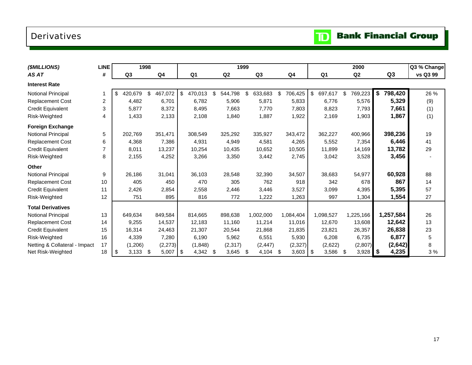# <span id="page-18-0"></span>Derivatives

|  | <b>Bank Financial Group</b> |  |
|--|-----------------------------|--|
|--|-----------------------------|--|

 $\mathbf{D}$ 

| (\$MILLIONS)                  | <b>LINE</b>    |                | 1998 |          |      |                | 1999           |                |               |                | 2000             |               | Q3 % Change |      |
|-------------------------------|----------------|----------------|------|----------|------|----------------|----------------|----------------|---------------|----------------|------------------|---------------|-------------|------|
| AS AT                         | #              | Q <sub>3</sub> |      | Q4       |      | Q <sub>1</sub> | Q <sub>2</sub> | Q <sub>3</sub> | Q4            | Q <sub>1</sub> | Q <sub>2</sub>   | Q3            | vs Q3 99    |      |
| <b>Interest Rate</b>          |                |                |      |          |      |                |                |                |               |                |                  |               |             |      |
| Notional Principal            |                | \$<br>420,679  | \$   | 467,072  | \$   | 470,013        | \$<br>544,798  | \$<br>633,683  | \$<br>706,425 | \$<br>697,617  | \$<br>769,223    | \$<br>798,420 |             | 26 % |
| <b>Replacement Cost</b>       | $\overline{c}$ | 4,482          |      | 6.701    |      | 6.782          | 5,906          | 5,871          | 5,833         | 6,776          | 5,576            | 5,329         |             | (9)  |
| <b>Credit Equivalent</b>      | 3              | 5,877          |      | 8,372    |      | 8,495          | 7,663          | 7,770          | 7,803         | 8,823          | 7,793            | 7,661         |             | (1)  |
| Risk-Weighted                 | 4              | 1,433          |      | 2,133    |      | 2,108          | 1,840          | 1,887          | 1,922         | 2,169          | 1,903            | 1,867         |             | (1)  |
| <b>Foreign Exchange</b>       |                |                |      |          |      |                |                |                |               |                |                  |               |             |      |
| <b>Notional Principal</b>     | 5              | 202,769        |      | 351,471  |      | 308,549        | 325,292        | 335,927        | 343,472       | 362,227        | 400,966          | 398,236       |             | 19   |
| <b>Replacement Cost</b>       | 6              | 4,368          |      | 7,386    |      | 4,931          | 4,949          | 4,581          | 4,265         | 5,552          | 7,354            | 6,446         |             | 41   |
| <b>Credit Equivalent</b>      | $\overline{7}$ | 8,011          |      | 13,237   |      | 10,254         | 10,435         | 10.652         | 10,505        | 11,899         | 14,169           | 13,782        |             | 29   |
| Risk-Weighted                 | 8              | 2,155          |      | 4,252    |      | 3,266          | 3,350          | 3,442          | 2,745         | 3,042          | 3,528            | 3,456         |             |      |
| <b>Other</b>                  |                |                |      |          |      |                |                |                |               |                |                  |               |             |      |
| Notional Principal            | 9              | 26,186         |      | 31,041   |      | 36,103         | 28,548         | 32,390         | 34,507        | 38,683         | 54,977           | 60,928        |             | 88   |
| <b>Replacement Cost</b>       | 10             | 405            |      | 450      |      | 470            | 305            | 762            | 918           | 342            | 678              | 867           |             | 14   |
| <b>Credit Equivalent</b>      | 11             | 2,426          |      | 2,854    |      | 2,558          | 2,446          | 3,446          | 3,527         | 3,099          | 4,395            | 5,395         |             | 57   |
| Risk-Weighted                 | 12             | 751            |      | 895      |      | 816            | 772            | 1,222          | 1,263         | 997            | 1,304            | 1,554         |             | 27   |
| <b>Total Derivatives</b>      |                |                |      |          |      |                |                |                |               |                |                  |               |             |      |
| Notional Principal            | 13             | 649,634        |      | 849,584  |      | 814,665        | 898,638        | 1,002,000      | 1,084,404     | 1,098,527      | 1,225,166        | 1,257,584     |             | 26   |
| Replacement Cost              | 14             | 9,255          |      | 14,537   |      | 12,183         | 11,160         | 11,214         | 11,016        | 12,670         | 13,608           | 12,642        |             | 13   |
| <b>Credit Equivalent</b>      | 15             | 16,314         |      | 24,463   |      | 21,307         | 20,544         | 21,868         | 21,835        | 23,821         | 26,357           | 26,838        |             | 23   |
| Risk-Weighted                 | 16             | 4,339          |      | 7,280    |      | 6,190          | 5,962          | 6,551          | 5,930         | 6,208          | 6,735            | 6,877         |             | 5    |
| Netting & Collateral - Impact | 17             | (1,206)        |      | (2, 273) |      | (1,848)        | (2, 317)       | (2, 447)       | (2, 327)      | (2,622)        | (2,807)          | (2,642)       |             | 8    |
| Net Risk-Weighted             | 18             | 3,133<br>\$    | -\$  | 5,007    | - \$ | 4,342          | \$<br>3,645    | \$<br>4,104    | \$<br>3,603   | \$<br>3,586    | \$<br>$3,928$ \$ | 4,235         |             | 3%   |